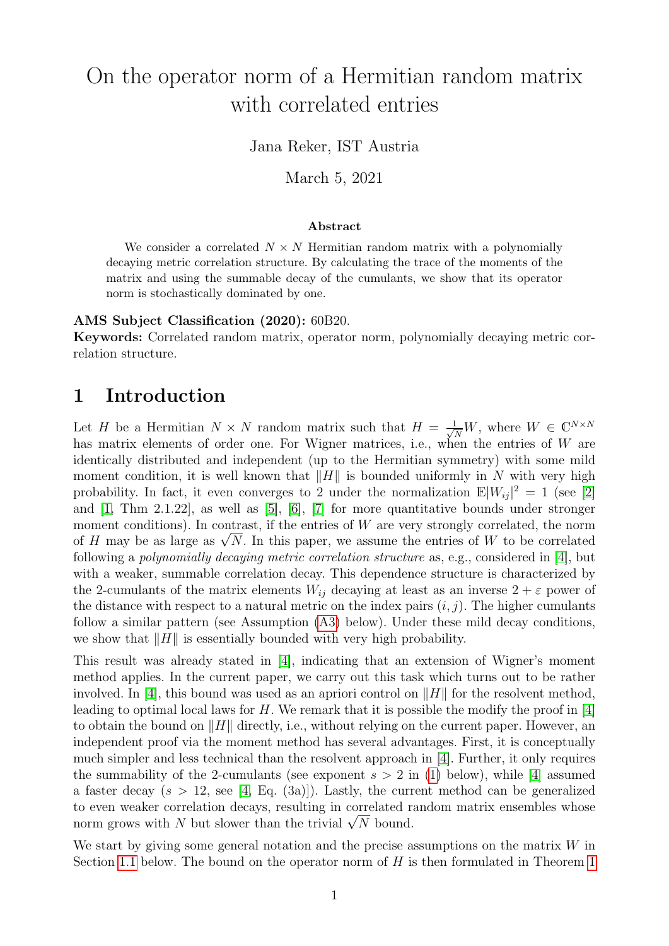# On the operator norm of a Hermitian random matrix with correlated entries

### Jana Reker, IST Austria

March 5, 2021

#### Abstract

We consider a correlated  $N \times N$  Hermitian random matrix with a polynomially decaying metric correlation structure. By calculating the trace of the moments of the matrix and using the summable decay of the cumulants, we show that its operator norm is stochastically dominated by one.

#### AMS Subject Classification (2020): 60B20.

Keywords: Correlated random matrix, operator norm, polynomially decaying metric correlation structure.

## 1 Introduction

Let H be a Hermitian  $N \times N$  random matrix such that  $H = \frac{1}{\sqrt{N}}W$ , where  $W \in \mathbb{C}^{N \times N}$ has matrix elements of order one. For Wigner matrices, i.e., when the entries of  $W$  are identically distributed and independent (up to the Hermitian symmetry) with some mild moment condition, it is well known that  $||H||$  is bounded uniformly in N with very high probability. In fact, it even converges to 2 under the normalization  $\mathbb{E}|W_{ij}|^2 = 1$  (see [\[2\]](#page-19-0) and [\[1,](#page-19-1) Thm 2.1.22], as well as [\[5\]](#page-19-2), [\[6\]](#page-19-3), [\[7\]](#page-19-4) for more quantitative bounds under stronger moment conditions). In contrast, if the entries of  $W$  are very strongly correlated, the norm moment conditions). In contrast, if the entries of W are very strongly correlated, the norm<br>of H may be as large as  $\sqrt{N}$ . In this paper, we assume the entries of W to be correlated following a polynomially decaying metric correlation structure as, e.g., considered in [\[4\]](#page-19-5), but with a weaker, summable correlation decay. This dependence structure is characterized by the 2-cumulants of the matrix elements  $W_{ij}$  decaying at least as an inverse  $2 + \varepsilon$  power of the distance with respect to a natural metric on the index pairs  $(i, j)$ . The higher cumulants follow a similar pattern (see Assumption [\(A3\)](#page-1-0) below). Under these mild decay conditions, we show that  $\|H\|$  is essentially bounded with very high probability.

This result was already stated in [\[4\]](#page-19-5), indicating that an extension of Wigner's moment method applies. In the current paper, we carry out this task which turns out to be rather involved. In [\[4\]](#page-19-5), this bound was used as an apriori control on  $||H||$  for the resolvent method, leading to optimal local laws for  $H$ . We remark that it is possible the modify the proof in [\[4\]](#page-19-5) to obtain the bound on  $\|H\|$  directly, i.e., without relying on the current paper. However, an independent proof via the moment method has several advantages. First, it is conceptually much simpler and less technical than the resolvent approach in [\[4\]](#page-19-5). Further, it only requires the summability of the 2-cumulants (see exponent  $s > 2$  in [\(1\)](#page-1-1) below), while [\[4\]](#page-19-5) assumed a faster decay  $(s > 12$ , see [\[4,](#page-19-5) Eq. (3a)]). Lastly, the current method can be generalized to even weaker correlation decays, resulting in correlated random matrix ensembles whose to even weaker correlation decays, resulting in correlated r.<br>norm grows with N but slower than the trivial  $\sqrt{N}$  bound.

We start by giving some general notation and the precise assumptions on the matrix  $W$  in Section [1.1](#page-1-2) below. The bound on the operator norm of  $H$  is then formulated in Theorem [1](#page-2-0)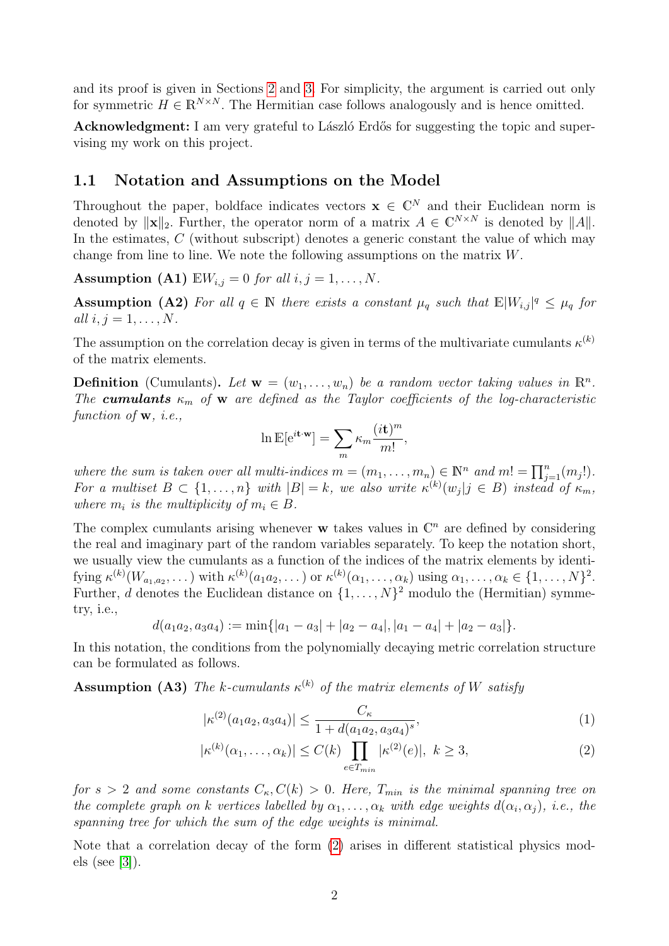and its proof is given in Sections [2](#page-3-0) and [3.](#page-11-0) For simplicity, the argument is carried out only for symmetric  $H \in \mathbb{R}^{N \times N}$ . The Hermitian case follows analogously and is hence omitted.

Acknowledgment: I am very grateful to László Erdős for suggesting the topic and supervising my work on this project.

#### <span id="page-1-2"></span>1.1 Notation and Assumptions on the Model

Throughout the paper, boldface indicates vectors  $\mathbf{x} \in \mathbb{C}^N$  and their Euclidean norm is denoted by  $\|\mathbf{x}\|_2$ . Further, the operator norm of a matrix  $A \in \mathbb{C}^{N \times N}$  is denoted by  $||A||$ . In the estimates,  $C$  (without subscript) denotes a generic constant the value of which may change from line to line. We note the following assumptions on the matrix W.

<span id="page-1-4"></span>Assumption (A1)  $\mathbb{E}W_{i,j} = 0$  for all  $i, j = 1, \ldots, N$ .

**Assumption (A2)** For all  $q \in \mathbb{N}$  there exists a constant  $\mu_q$  such that  $\mathbb{E}|W_{i,j}|^q \leq \mu_q$  for all  $i, j = 1, \ldots, N$ .

The assumption on the correlation decay is given in terms of the multivariate cumulants  $\kappa^{(k)}$ of the matrix elements.

**Definition** (Cumulants). Let  $\mathbf{w} = (w_1, \ldots, w_n)$  be a random vector taking values in  $\mathbb{R}^n$ . The **cumulants**  $\kappa_m$  of **w** are defined as the Taylor coefficients of the log-characteristic function of **w**, *i.e.*,

$$
\ln \mathbb{E}[\mathrm{e}^{i\mathbf{t} \cdot \mathbf{w}}] = \sum_{m} \kappa_m \frac{(i\mathbf{t})^m}{m!},
$$

where the sum is taken over all multi-indices  $m = (m_1, \ldots, m_n) \in \mathbb{N}^n$  and  $m! = \prod_{j=1}^n (m_j!)$ . For a multiset  $B \subset \{1,\ldots,n\}$  with  $|B|=k$ , we also write  $\kappa^{(k)}(w_j | j \in B)$  instead of  $\kappa_m$ , where  $m_i$  is the multiplicity of  $m_i \in B$ .

The complex cumulants arising whenever  $\bf{w}$  takes values in  $\mathbb{C}^n$  are defined by considering the real and imaginary part of the random variables separately. To keep the notation short, we usually view the cumulants as a function of the indices of the matrix elements by identifying  $\kappa^{(k)}(W_{a_1,a_2},\ldots)$  with  $\kappa^{(k)}(a_1a_2,\ldots)$  or  $\kappa^{(k)}(\alpha_1,\ldots,\alpha_k)$  using  $\alpha_1,\ldots,\alpha_k\in\{1,\ldots,N\}^2$ . Further, d denotes the Euclidean distance on  $\{1, \ldots, N\}^2$  modulo the (Hermitian) symmetry, i.e.,

$$
d(a_1a_2, a_3a_4) := \min\{|a_1-a_3|+|a_2-a_4|, |a_1-a_4|+|a_2-a_3|\}.
$$

In this notation, the conditions from the polynomially decaying metric correlation structure can be formulated as follows.

<span id="page-1-0"></span>**Assumption (A3)** The k-cumulants  $\kappa^{(k)}$  of the matrix elements of W satisfy

<span id="page-1-3"></span><span id="page-1-1"></span>
$$
|\kappa^{(2)}(a_1 a_2, a_3 a_4)| \le \frac{C_\kappa}{1 + d(a_1 a_2, a_3 a_4)^s},\tag{1}
$$

$$
|\kappa^{(k)}(\alpha_1,\ldots,\alpha_k)| \le C(k) \prod_{e \in T_{min}} |\kappa^{(2)}(e)|, \ k \ge 3,
$$
 (2)

for  $s > 2$  and some constants  $C_{\kappa}$ ,  $C(k) > 0$ . Here,  $T_{min}$  is the minimal spanning tree on the complete graph on k vertices labelled by  $\alpha_1, \ldots, \alpha_k$  with edge weights  $d(\alpha_i, \alpha_j)$ , i.e., the spanning tree for which the sum of the edge weights is minimal.

Note that a correlation decay of the form [\(2\)](#page-1-3) arises in different statistical physics models (see [\[3\]](#page-19-6)).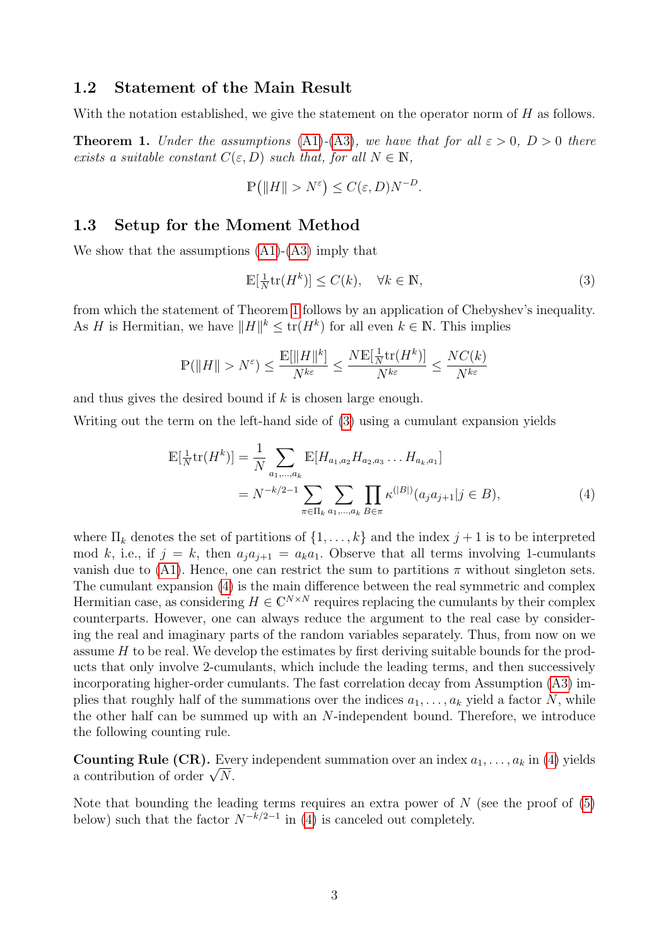#### 1.2 Statement of the Main Result

With the notation established, we give the statement on the operator norm of H as follows.

<span id="page-2-0"></span>**Theorem 1.** Under the assumptions [\(A1\)](#page-1-4)-[\(A3\)](#page-1-0), we have that for all  $\varepsilon > 0$ ,  $D > 0$  there exists a suitable constant  $C(\varepsilon, D)$  such that, for all  $N \in \mathbb{N}$ ,

$$
\mathbb{P}\big(\|H\| > N^{\varepsilon}\big) \le C(\varepsilon, D)N^{-D}.
$$

#### 1.3 Setup for the Moment Method

We show that the assumptions  $(A1)-(A3)$  $(A1)-(A3)$  imply that

<span id="page-2-2"></span><span id="page-2-1"></span>
$$
\mathbb{E}[\frac{1}{N}\text{tr}(H^k)] \le C(k), \quad \forall k \in \mathbb{N},\tag{3}
$$

from which the statement of Theorem [1](#page-2-0) follows by an application of Chebyshev's inequality. As H is Hermitian, we have  $||H||^k \leq \text{tr}(H^k)$  for all even  $k \in \mathbb{N}$ . This implies

$$
\mathbb{P}(\|H\|>N^{\varepsilon})\leq \frac{\mathbb{E}[\|H\|^k]}{N^{k\varepsilon}}\leq \frac{N\mathbb{E}[\frac{1}{N}\mathrm{tr}(H^k)]}{N^{k\varepsilon}}\leq \frac{NC(k)}{N^{k\varepsilon}}
$$

and thus gives the desired bound if  $k$  is chosen large enough.

Writing out the term on the left-hand side of [\(3\)](#page-2-1) using a cumulant expansion yields

$$
\mathbb{E}[\frac{1}{N}\text{tr}(H^k)] = \frac{1}{N} \sum_{a_1,\dots,a_k} \mathbb{E}[H_{a_1,a_2} H_{a_2,a_3} \dots H_{a_k,a_1}]
$$
  
=  $N^{-k/2-1} \sum_{\pi \in \Pi_k} \sum_{a_1,\dots,a_k} \prod_{B \in \pi} \kappa^{(|B|)}(a_j a_{j+1} | j \in B),$  (4)

where  $\Pi_k$  denotes the set of partitions of  $\{1, \ldots, k\}$  and the index  $j + 1$  is to be interpreted mod k, i.e., if  $j = k$ , then  $a_j a_{j+1} = a_k a_1$ . Observe that all terms involving 1-cumulants vanish due to [\(A1\)](#page-1-4). Hence, one can restrict the sum to partitions  $\pi$  without singleton sets. The cumulant expansion [\(4\)](#page-2-2) is the main difference between the real symmetric and complex Hermitian case, as considering  $H \in \mathbb{C}^{N \times N}$  requires replacing the cumulants by their complex counterparts. However, one can always reduce the argument to the real case by considering the real and imaginary parts of the random variables separately. Thus, from now on we assume  $H$  to be real. We develop the estimates by first deriving suitable bounds for the products that only involve 2-cumulants, which include the leading terms, and then successively incorporating higher-order cumulants. The fast correlation decay from Assumption [\(A3\)](#page-1-0) implies that roughly half of the summations over the indices  $a_1, \ldots, a_k$  yield a factor N, while the other half can be summed up with an N-independent bound. Therefore, we introduce the following counting rule.

<span id="page-2-3"></span>**Counting Rule (CR).** Every independent summation over an index  $a_1, \ldots, a_k$  in [\(4\)](#page-2-2) yields **Counting Rule (CR).** Every a contribution of order  $\sqrt{N}$ .

Note that bounding the leading terms requires an extra power of  $N$  (see the proof of  $(5)$ ) below) such that the factor  $N^{-k/2-1}$  in [\(4\)](#page-2-2) is canceled out completely.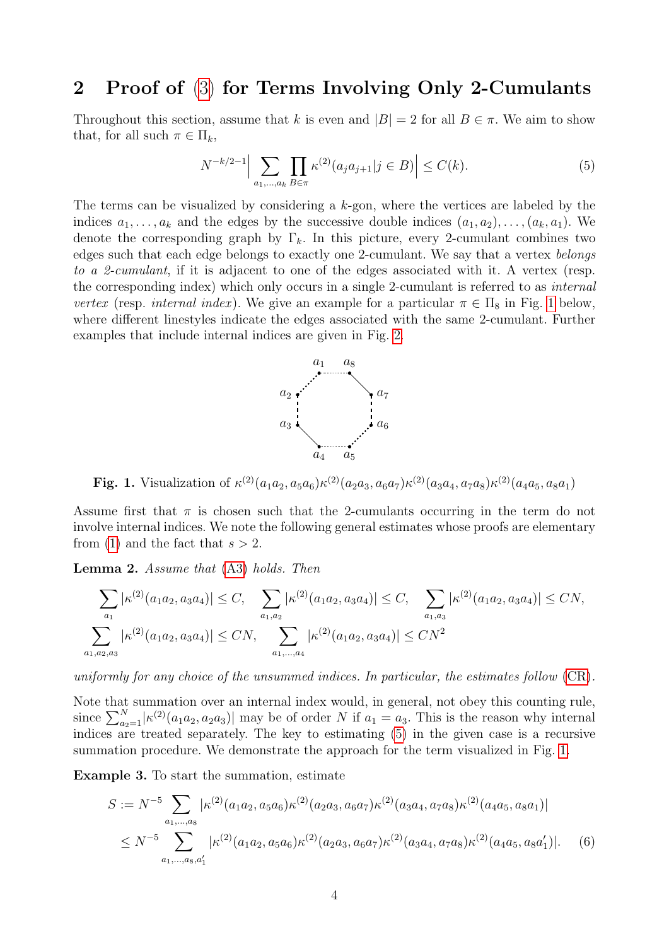## <span id="page-3-0"></span>2 Proof of [\(3\)](#page-2-1) for Terms Involving Only 2-Cumulants

Throughout this section, assume that k is even and  $|B| = 2$  for all  $B \in \pi$ . We aim to show that, for all such  $\pi \in \Pi_k$ ,

<span id="page-3-1"></span>
$$
N^{-k/2-1} \Big| \sum_{a_1, \dots, a_k} \prod_{B \in \pi} \kappa^{(2)}(a_j a_{j+1} | j \in B) \Big| \le C(k). \tag{5}
$$

The terms can be visualized by considering a  $k$ -gon, where the vertices are labeled by the indices  $a_1, \ldots, a_k$  and the edges by the successive double indices  $(a_1, a_2), \ldots, (a_k, a_1)$ . We denote the corresponding graph by  $\Gamma_k$ . In this picture, every 2-cumulant combines two edges such that each edge belongs to exactly one 2-cumulant. We say that a vertex belongs to a 2-cumulant, if it is adjacent to one of the edges associated with it. A vertex (resp. the corresponding index) which only occurs in a single 2-cumulant is referred to as internal vertex (resp. internal index). We give an example for a particular  $\pi \in \Pi_8$  in Fig. [1](#page-3-2) below, where different linestyles indicate the edges associated with the same 2-cumulant. Further examples that include internal indices are given in Fig. [2.](#page-6-0)



<span id="page-3-2"></span>**Fig. 1.** Visualization of  $\kappa^{(2)}(a_1a_2, a_5a_6)\kappa^{(2)}(a_2a_3, a_6a_7)\kappa^{(2)}(a_3a_4, a_7a_8)\kappa^{(2)}(a_4a_5, a_8a_1)$ 

Assume first that  $\pi$  is chosen such that the 2-cumulants occurring in the term do not involve internal indices. We note the following general estimates whose proofs are elementary from [\(1\)](#page-1-1) and the fact that  $s > 2$ .

<span id="page-3-3"></span>Lemma 2. Assume that [\(A3\)](#page-1-0) holds. Then

 $\overline{a}$ 

$$
\sum_{a_1} |\kappa^{(2)}(a_1 a_2, a_3 a_4)| \leq C, \sum_{a_1, a_2} |\kappa^{(2)}(a_1 a_2, a_3 a_4)| \leq C, \sum_{a_1, a_3} |\kappa^{(2)}(a_1 a_2, a_3 a_4)| \leq CN,
$$
  

$$
\sum_{a_1, a_2, a_3} |\kappa^{(2)}(a_1 a_2, a_3 a_4)| \leq CN, \sum_{a_1, \dots, a_4} |\kappa^{(2)}(a_1 a_2, a_3 a_4)| \leq CN^2
$$

uniformly for any choice of the unsummed indices. In particular, the estimates follow [\(CR\)](#page-2-3).

Note that summation over an internal index would, in general, not obey this counting rule, since  $\sum_{a_2=1}^{N} |\kappa^{(2)}(a_1 a_2, a_2 a_3)|$  may be of order N if  $a_1 = a_3$ . This is the reason why internal indices are treated separately. The key to estimating  $(5)$  in the given case is a recursive summation procedure. We demonstrate the approach for the term visualized in Fig. [1.](#page-3-2)

<span id="page-3-4"></span>Example 3. To start the summation, estimate

<span id="page-3-5"></span>
$$
S := N^{-5} \sum_{a_1,\dots,a_8} |\kappa^{(2)}(a_1 a_2, a_5 a_6) \kappa^{(2)}(a_2 a_3, a_6 a_7) \kappa^{(2)}(a_3 a_4, a_7 a_8) \kappa^{(2)}(a_4 a_5, a_8 a_1)|
$$
  

$$
\leq N^{-5} \sum_{a_1,\dots,a_8,a'_1} |\kappa^{(2)}(a_1 a_2, a_5 a_6) \kappa^{(2)}(a_2 a_3, a_6 a_7) \kappa^{(2)}(a_3 a_4, a_7 a_8) \kappa^{(2)}(a_4 a_5, a_8 a'_1)|. \tag{6}
$$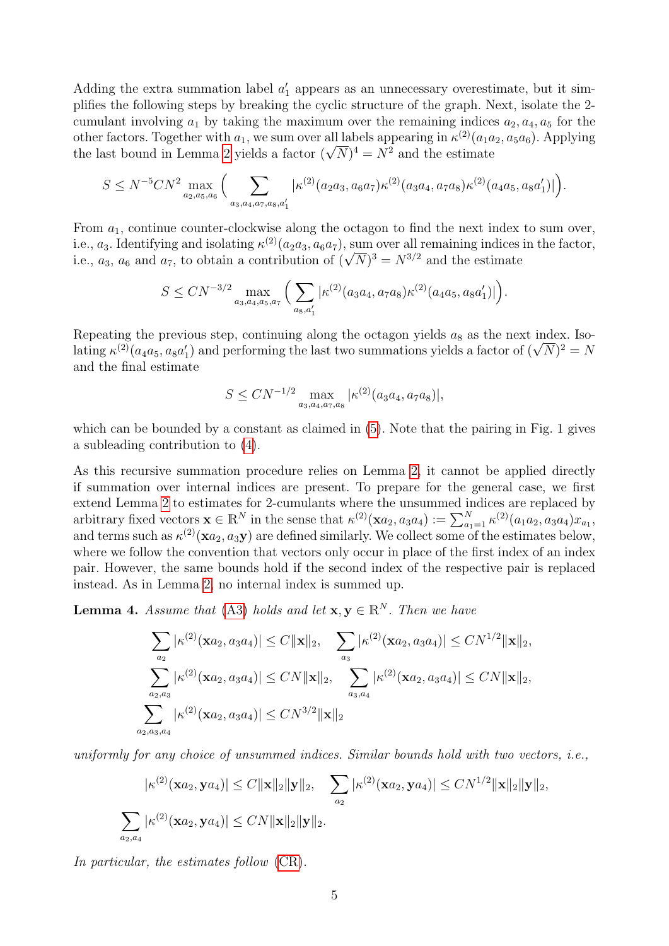Adding the extra summation label  $a'_1$  appears as an unnecessary overestimate, but it simplifies the following steps by breaking the cyclic structure of the graph. Next, isolate the 2 cumulant involving  $a_1$  by taking the maximum over the remaining indices  $a_2, a_4, a_5$  for the other factors. Together with  $a_1$ , we sum over all labels appearing in  $\kappa^{(2)}(a_1a_2, a_5a_6)$ . Applying other factors. Together with  $a_1$ , we sum over all labels appearing in  $\kappa^{<\gamma}(a_1a)$ <br>the last bound in Lemma [2](#page-3-3) yields a factor  $(\sqrt{N})^4 = N^2$  and the estimate

$$
S \le N^{-5}CN^2 \max_{a_2,a_5,a_6} \Big( \sum_{a_3,a_4,a_7,a_8,a_1'} |\kappa^{(2)}(a_2a_3,a_6a_7)\kappa^{(2)}(a_3a_4,a_7a_8)\kappa^{(2)}(a_4a_5,a_8a_1')|\Big).
$$

From  $a_1$ , continue counter-clockwise along the octagon to find the next index to sum over, i.e.,  $a_3$ . Identifying and isolating  $\kappa^{(2)}(a_2a_3, a_6a_7)$ , sum over all remaining indices in the factor, i.e.,  $a_3$ . identifying and isolating  $\kappa^{\sim}(a_2a_3, a_6a_7)$ , sum over all remaining indices<br>i.e.,  $a_3$ ,  $a_6$  and  $a_7$ , to obtain a contribution of  $(\sqrt{N})^3 = N^{3/2}$  and the estimate

$$
S \leq CN^{-3/2} \max_{a_3, a_4, a_5, a_7} \Big( \sum_{a_8, a'_1} |\kappa^{(2)}(a_3 a_4, a_7 a_8) \kappa^{(2)}(a_4 a_5, a_8 a'_1)| \Big).
$$

Repeating the previous step, continuing along the octagon yields  $a_8$  as the next index. Iso-Repeating the previous step, continuing along the octagon yields  $a_8$  as the next index. Iso-<br>lating  $\kappa^{(2)}(a_4a_5, a_8a'_1)$  and performing the last two summations yields a factor of  $(\sqrt{N})^2 = N$ and the final estimate

$$
S \leq CN^{-1/2} \max_{a_3, a_4, a_7, a_8} |\kappa^{(2)}(a_3 a_4, a_7 a_8)|,
$$

which can be bounded by a constant as claimed in [\(5\)](#page-3-1). Note that the pairing in Fig. 1 gives a subleading contribution to [\(4\)](#page-2-2).

As this recursive summation procedure relies on Lemma [2,](#page-3-3) it cannot be applied directly if summation over internal indices are present. To prepare for the general case, we first extend Lemma [2](#page-3-3) to estimates for 2-cumulants where the unsummed indices are replaced by arbitrary fixed vectors  $\mathbf{x} \in \mathbb{R}^N$  in the sense that  $\kappa^{(2)}(\mathbf{x}a_2, a_3a_4) := \sum_{a_1=1}^N \kappa^{(2)}(a_1a_2, a_3a_4)x_{a_1}$ and terms such as  $\kappa^{(2)}(x a_2, a_3 y)$  are defined similarly. We collect some of the estimates below, where we follow the convention that vectors only occur in place of the first index of an index pair. However, the same bounds hold if the second index of the respective pair is replaced instead. As in Lemma [2,](#page-3-3) no internal index is summed up.

<span id="page-4-0"></span>**Lemma 4.** Assume that [\(A3\)](#page-1-0) holds and let  $\mathbf{x}, \mathbf{y} \in \mathbb{R}^N$ . Then we have

$$
\sum_{a_2} |\kappa^{(2)}(\mathbf{x}a_2, a_3a_4)| \le C \|\mathbf{x}\|_2, \quad \sum_{a_3} |\kappa^{(2)}(\mathbf{x}a_2, a_3a_4)| \le CN^{1/2} \|\mathbf{x}\|_2,
$$
  

$$
\sum_{a_2, a_3} |\kappa^{(2)}(\mathbf{x}a_2, a_3a_4)| \le CN \|\mathbf{x}\|_2, \quad \sum_{a_3, a_4} |\kappa^{(2)}(\mathbf{x}a_2, a_3a_4)| \le CN \|\mathbf{x}\|_2,
$$
  

$$
\sum_{a_2, a_3, a_4} |\kappa^{(2)}(\mathbf{x}a_2, a_3a_4)| \le CN^{3/2} \|\mathbf{x}\|_2
$$

uniformly for any choice of unsummed indices. Similar bounds hold with two vectors, i.e.,

$$
|\kappa^{(2)}(\mathbf{x}a_2,\mathbf{y}a_4)| \leq C \|\mathbf{x}\|_2 \|\mathbf{y}\|_2, \quad \sum_{a_2} |\kappa^{(2)}(\mathbf{x}a_2,\mathbf{y}a_4)| \leq CN^{1/2} \|\mathbf{x}\|_2 \|\mathbf{y}\|_2,
$$
  

$$
\sum_{a_2,a_4} |\kappa^{(2)}(\mathbf{x}a_2,\mathbf{y}a_4)| \leq CN \|\mathbf{x}\|_2 \|\mathbf{y}\|_2.
$$

In particular, the estimates follow  $(CR)$ .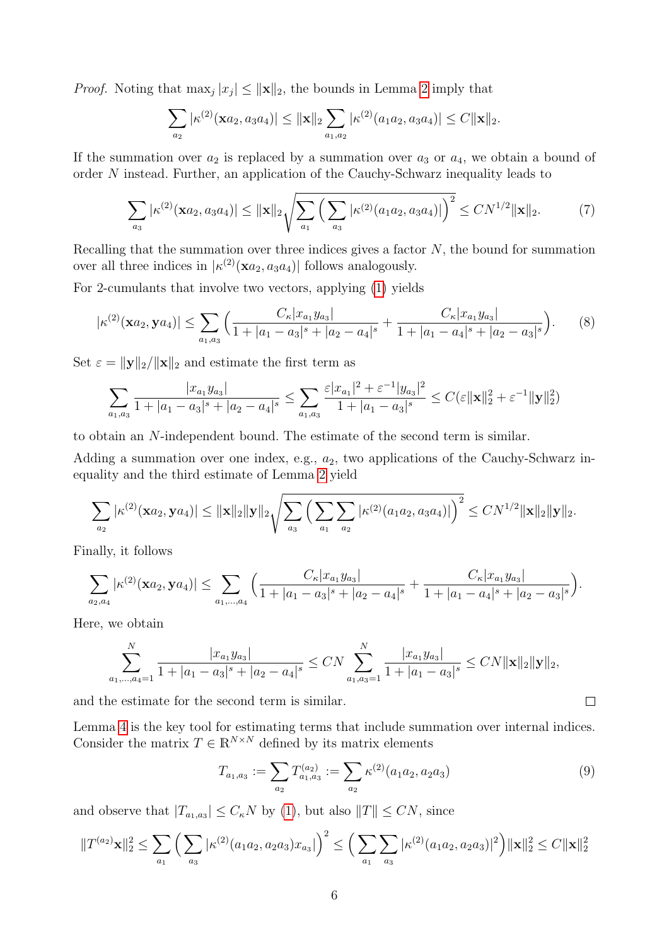*Proof.* Noting that  $\max_j |x_j| \le ||\mathbf{x}||_2$ , the bounds in Lemma [2](#page-3-3) imply that

<span id="page-5-1"></span>
$$
\sum_{a_2} |\kappa^{(2)}(\mathbf{x} a_2, a_3 a_4)| \leq ||\mathbf{x}||_2 \sum_{a_1, a_2} |\kappa^{(2)}(a_1 a_2, a_3 a_4)| \leq C ||\mathbf{x}||_2.
$$

If the summation over  $a_2$  is replaced by a summation over  $a_3$  or  $a_4$ , we obtain a bound of order N instead. Further, an application of the Cauchy-Schwarz inequality leads to

$$
\sum_{a_3} |\kappa^{(2)}(\mathbf{x}a_2, a_3 a_4)| \le ||\mathbf{x}||_2 \sqrt{\sum_{a_1} \left(\sum_{a_3} |\kappa^{(2)}(a_1 a_2, a_3 a_4)|\right)^2} \le CN^{1/2} \|\mathbf{x}\|_2.
$$
 (7)

Recalling that the summation over three indices gives a factor  $N$ , the bound for summation over all three indices in  $|\kappa^{(2)}(\mathbf{x}a_2, a_3a_4)|$  follows analogously.

For 2-cumulants that involve two vectors, applying [\(1\)](#page-1-1) yields

$$
|\kappa^{(2)}(\mathbf{x}a_2,\mathbf{y}a_4)| \leq \sum_{a_1,a_3} \left( \frac{C_\kappa |x_{a_1}y_{a_3}|}{1+|a_1-a_3|^s + |a_2-a_4|^s} + \frac{C_\kappa |x_{a_1}y_{a_3}|}{1+|a_1-a_4|^s + |a_2-a_3|^s} \right). \tag{8}
$$

Set  $\varepsilon = ||\mathbf{y}||_2/||\mathbf{x}||_2$  and estimate the first term as

$$
\sum_{a_1, a_3} \frac{|x_{a_1}y_{a_3}|}{1+|a_1-a_3|^s+|a_2-a_4|^s} \le \sum_{a_1, a_3} \frac{\varepsilon |x_{a_1}|^2 + \varepsilon^{-1} |y_{a_3}|^2}{1+|a_1-a_3|^s} \le C(\varepsilon ||\mathbf{x}||_2^2 + \varepsilon^{-1} ||\mathbf{y}||_2^2)
$$

to obtain an N-independent bound. The estimate of the second term is similar.

Adding a summation over one index, e.g.,  $a_2$ , two applications of the Cauchy-Schwarz inequality and the third estimate of Lemma [2](#page-3-3) yield

$$
\sum_{a_2} |\kappa^{(2)}(\mathbf{x} a_2, \mathbf{y} a_4)| \leq ||\mathbf{x}||_2 ||\mathbf{y}||_2 \sqrt{\sum_{a_3} \left( \sum_{a_1} \sum_{a_2} |\kappa^{(2)}(a_1 a_2, a_3 a_4)| \right)^2} \leq CN^{1/2} ||\mathbf{x}||_2 ||\mathbf{y}||_2.
$$

Finally, it follows

$$
\sum_{a_2,a_4} |\kappa^{(2)}(\mathbf{x}a_2,\mathbf{y}a_4)| \leq \sum_{a_1,\dots,a_4} \Big( \frac{C_{\kappa} |x_{a_1}y_{a_3}|}{1+|a_1-a_3|^s+|a_2-a_4|^s} + \frac{C_{\kappa} |x_{a_1}y_{a_3}|}{1+|a_1-a_4|^s+|a_2-a_3|^s} \Big).
$$

Here, we obtain

$$
\sum_{a_1,\dots,a_4=1}^N \frac{|x_{a_1}y_{a_3}|}{1+|a_1-a_3|^s+|a_2-a_4|^s} \le CN \sum_{a_1,a_3=1}^N \frac{|x_{a_1}y_{a_3}|}{1+|a_1-a_3|^s} \le CN ||\mathbf{x}||_2 ||\mathbf{y}||_2,
$$

and the estimate for the second term is similar.

Lemma [4](#page-4-0) is the key tool for estimating terms that include summation over internal indices. Consider the matrix  $T \in \mathbb{R}^{N \times N}$  defined by its matrix elements

<span id="page-5-0"></span>
$$
T_{a_1,a_3} := \sum_{a_2} T_{a_1,a_3}^{(a_2)} := \sum_{a_2} \kappa^{(2)}(a_1 a_2, a_2 a_3)
$$
\n(9)

 $\Box$ 

and observe that  $|T_{a_1,a_3}| \leq C_{\kappa} N$  by [\(1\)](#page-1-1), but also  $||T|| \leq CN$ , since

$$
||T^{(a_2)}\mathbf{x}||_2^2 \leq \sum_{a_1} \left( \sum_{a_3} |\kappa^{(2)}(a_1 a_2, a_2 a_3) x_{a_3}| \right)^2 \leq \left( \sum_{a_1} \sum_{a_3} |\kappa^{(2)}(a_1 a_2, a_2 a_3)|^2 \right) \|\mathbf{x}\|_2^2 \leq C \|\mathbf{x}\|_2^2
$$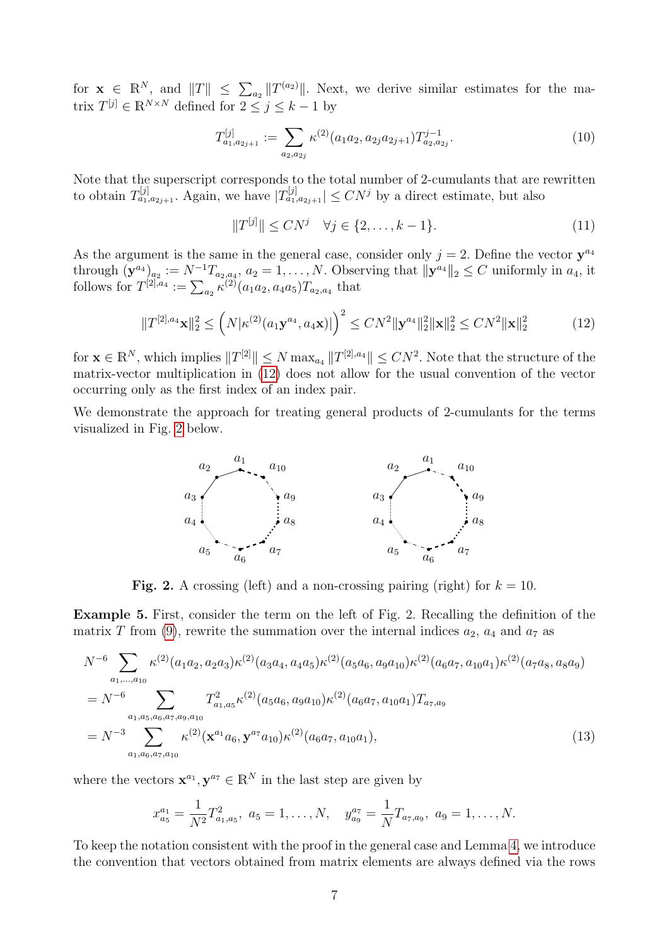for  $\mathbf{x} \in \mathbb{R}^N$ , and  $||T|| \leq \sum_{a_2} ||T^{(a_2)}||$ . Next, we derive similar estimates for the matrix  $T^{[j]} \in \mathbb{R}^{N \times N}$  defined for  $2 \leq j \leq k-1$  by

<span id="page-6-3"></span>
$$
T_{a_1, a_{2j+1}}^{[j]} := \sum_{a_2, a_{2j}} \kappa^{(2)}(a_1 a_2, a_{2j} a_{2j+1}) T_{a_2, a_{2j}}^{j-1}.
$$
\n(10)

Note that the superscript corresponds to the total number of 2-cumulants that are rewritten to obtain  $T_{a_1,a_{2j+1}}^{[j]}$ . Again, we have  $|T_{a_1,a_{2j+1}}^{[j]}| \leq CN^j$  by a direct estimate, but also

<span id="page-6-4"></span><span id="page-6-1"></span>
$$
||T^{[j]}|| \le CN^j \quad \forall j \in \{2, \dots, k-1\}.
$$
 (11)

As the argument is the same in the general case, consider only  $j = 2$ . Define the vector  $y^{a_4}$ through  $(\mathbf{y}^{a_4})_{a_2} := N^{-1}T_{a_2,a_4}, a_2 = 1,\ldots,N$ . Observing that  $\|\mathbf{y}^{a_4}\|_2 \leq C$  uniformly in  $a_4$ , it follows for  $T^{[2],a_4} := \sum_{a_2} \kappa^{(2)}(a_1 a_2, a_4 a_5) T_{a_2,a_4}$  that

$$
||T^{[2],a_4}\mathbf{x}||_2^2 \le (N|\kappa^{(2)}(a_1\mathbf{y}^{a_4}, a_4\mathbf{x})|)^2 \le CN^2 \|\mathbf{y}^{a_4}\|_2^2 \|\mathbf{x}\|_2^2 \le CN^2 \|\mathbf{x}\|_2^2 \tag{12}
$$

for  $\mathbf{x} \in \mathbb{R}^N$ , which implies  $||T^{[2]}|| \le N \max_{a_4} ||T^{[2],a_4}|| \le CN^2$ . Note that the structure of the matrix-vector multiplication in [\(12\)](#page-6-1) does not allow for the usual convention of the vector occurring only as the first index of an index pair.

<span id="page-6-0"></span>We demonstrate the approach for treating general products of 2-cumulants for the terms visualized in Fig. [2](#page-6-0) below.



**Fig. 2.** A crossing (left) and a non-crossing pairing (right) for  $k = 10$ .

<span id="page-6-5"></span>Example 5. First, consider the term on the left of Fig. 2. Recalling the definition of the matrix T from [\(9\)](#page-5-0), rewrite the summation over the internal indices  $a_2$ ,  $a_4$  and  $a_7$  as

$$
N^{-6} \sum_{a_1,\dots,a_{10}} \kappa^{(2)}(a_1 a_2, a_2 a_3) \kappa^{(2)}(a_3 a_4, a_4 a_5) \kappa^{(2)}(a_5 a_6, a_9 a_{10}) \kappa^{(2)}(a_6 a_7, a_{10} a_1) \kappa^{(2)}(a_7 a_8, a_8 a_9)
$$
  
\n
$$
= N^{-6} \sum_{a_1,a_5,a_6,a_7,a_9,a_{10}} T_{a_1,a_5}^2 \kappa^{(2)}(a_5 a_6, a_9 a_{10}) \kappa^{(2)}(a_6 a_7, a_{10} a_1) T_{a_7,a_9}
$$
  
\n
$$
= N^{-3} \sum_{a_1,a_6,a_7,a_{10}} \kappa^{(2)}(\mathbf{x}^{a_1} a_6, \mathbf{y}^{a_7} a_{10}) \kappa^{(2)}(a_6 a_7, a_{10} a_1),
$$
\n(13)

where the vectors  $\mathbf{x}^{a_1}, \mathbf{y}^{a_7} \in \mathbb{R}^N$  in the last step are given by

<span id="page-6-2"></span>
$$
x_{a_5}^{a_1} = \frac{1}{N^2} T_{a_1, a_5}^2, \ a_5 = 1, \dots, N, \quad y_{a_9}^{a_7} = \frac{1}{N} T_{a_7, a_9}, \ a_9 = 1, \dots, N.
$$

To keep the notation consistent with the proof in the general case and Lemma [4,](#page-4-0) we introduce the convention that vectors obtained from matrix elements are always defined via the rows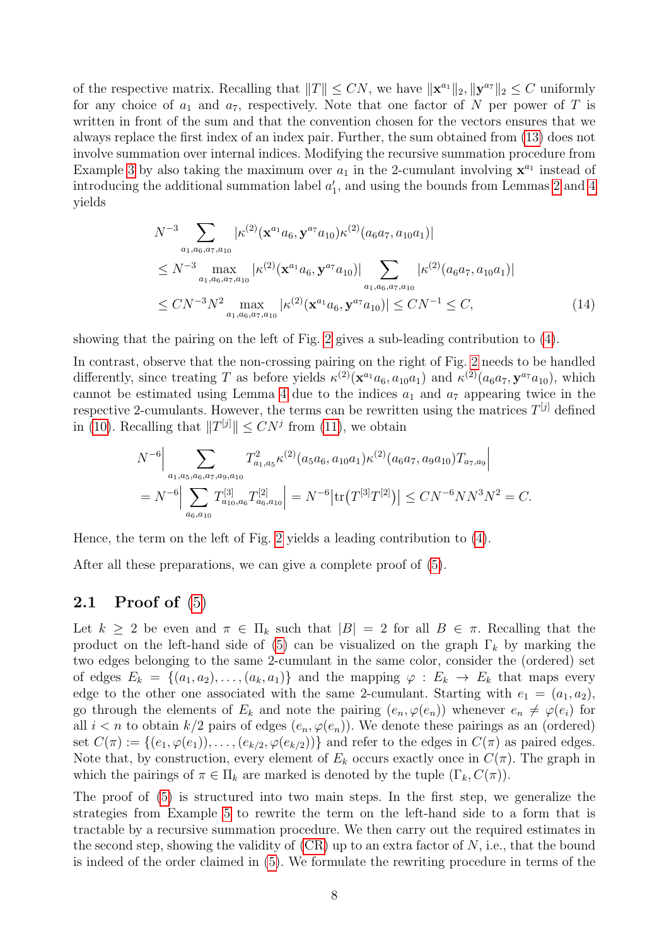of the respective matrix. Recalling that  $||T|| \leq CN$ , we have  $||\mathbf{x}^{a_1}||_2, ||\mathbf{y}^{a_7}||_2 \leq C$  uniformly for any choice of  $a_1$  and  $a_7$ , respectively. Note that one factor of N per power of T is written in front of the sum and that the convention chosen for the vectors ensures that we always replace the first index of an index pair. Further, the sum obtained from [\(13\)](#page-6-2) does not involve summation over internal indices. Modifying the recursive summation procedure from Example [3](#page-3-4) by also taking the maximum over  $a_1$  in the 2-cumulant involving  $\mathbf{x}^{a_1}$  instead of introducing the additional summation label  $a'_1$ , and using the bounds from Lemmas [2](#page-3-3) and [4](#page-4-0) yields

<span id="page-7-0"></span>
$$
N^{-3} \sum_{a_1, a_6, a_7, a_{10}} |\kappa^{(2)}(\mathbf{x}^{a_1} a_6, \mathbf{y}^{a_7} a_{10}) \kappa^{(2)}(a_6 a_7, a_{10} a_1)|
$$
  
\n
$$
\leq N^{-3} \max_{a_1, a_6, a_7, a_{10}} |\kappa^{(2)}(\mathbf{x}^{a_1} a_6, \mathbf{y}^{a_7} a_{10})| \sum_{a_1, a_6, a_7, a_{10}} |\kappa^{(2)}(a_6 a_7, a_{10} a_1)|
$$
  
\n
$$
\leq C N^{-3} N^2 \max_{a_1, a_6, a_7, a_{10}} |\kappa^{(2)}(\mathbf{x}^{a_1} a_6, \mathbf{y}^{a_7} a_{10})| \leq C N^{-1} \leq C,
$$
 (14)

showing that the pairing on the left of Fig. [2](#page-6-0) gives a sub-leading contribution to [\(4\)](#page-2-2).

In contrast, observe that the non-crossing pairing on the right of Fig. [2](#page-6-0) needs to be handled differently, since treating T as before yields  $\kappa^{(2)}(\mathbf{x}^{a_1}a_6, a_{10}a_1)$  and  $\kappa^{(2)}(a_6a_7, \mathbf{y}^{a_7}a_{10})$ , which cannot be estimated using Lemma [4](#page-4-0) due to the indices  $a_1$  and  $a_7$  appearing twice in the respective 2-cumulants. However, the terms can be rewritten using the matrices  $T^{[j]}$  defined in [\(10\)](#page-6-3). Recalling that  $||T^{[j]}|| \leq CN^j$  from [\(11\)](#page-6-4), we obtain

$$
N^{-6} \Big| \sum_{a_1, a_5, a_6, a_7, a_9, a_{10}} T_{a_1, a_5}^2 \kappa^{(2)}(a_5 a_6, a_{10} a_1) \kappa^{(2)}(a_6 a_7, a_9 a_{10}) T_{a_7, a_9} \Big|
$$
  
= 
$$
N^{-6} \Big| \sum_{a_6, a_{10}} T_{a_{10}, a_6}^{[3]} T_{a_6, a_{10}}^{[2]} \Big| = N^{-6} \Big| tr\big(T^{[3]} T^{[2]}\big) \Big| \leq C N^{-6} N N^3 N^2 = C.
$$

Hence, the term on the left of Fig. [2](#page-6-0) yields a leading contribution to [\(4\)](#page-2-2).

After all these preparations, we can give a complete proof of [\(5\)](#page-3-1).

#### 2.1 Proof of  $(5)$

Let  $k \geq 2$  be even and  $\pi \in \Pi_k$  such that  $|B| = 2$  for all  $B \in \pi$ . Recalling that the product on the left-hand side of [\(5\)](#page-3-1) can be visualized on the graph  $\Gamma_k$  by marking the two edges belonging to the same 2-cumulant in the same color, consider the (ordered) set of edges  $E_k = \{(a_1, a_2), \ldots, (a_k, a_1)\}\$ and the mapping  $\varphi : E_k \to E_k$  that maps every edge to the other one associated with the same 2-cumulant. Starting with  $e_1 = (a_1, a_2)$ , go through the elements of  $E_k$  and note the pairing  $(e_n, \varphi(e_n))$  whenever  $e_n \neq \varphi(e_i)$  for all  $i < n$  to obtain  $k/2$  pairs of edges  $(e_n, \varphi(e_n))$ . We denote these pairings as an (ordered) set  $C(\pi) := \{(e_1, \varphi(e_1)), \ldots, (e_{k/2}, \varphi(e_{k/2}))\}$  and refer to the edges in  $C(\pi)$  as paired edges. Note that, by construction, every element of  $E_k$  occurs exactly once in  $C(\pi)$ . The graph in which the pairings of  $\pi \in \Pi_k$  are marked is denoted by the tuple  $(\Gamma_k, C(\pi))$ .

The proof of [\(5\)](#page-3-1) is structured into two main steps. In the first step, we generalize the strategies from Example [5](#page-6-5) to rewrite the term on the left-hand side to a form that is tractable by a recursive summation procedure. We then carry out the required estimates in the second step, showing the validity of  $(CR)$  up to an extra factor of N, i.e., that the bound is indeed of the order claimed in [\(5\)](#page-3-1). We formulate the rewriting procedure in terms of the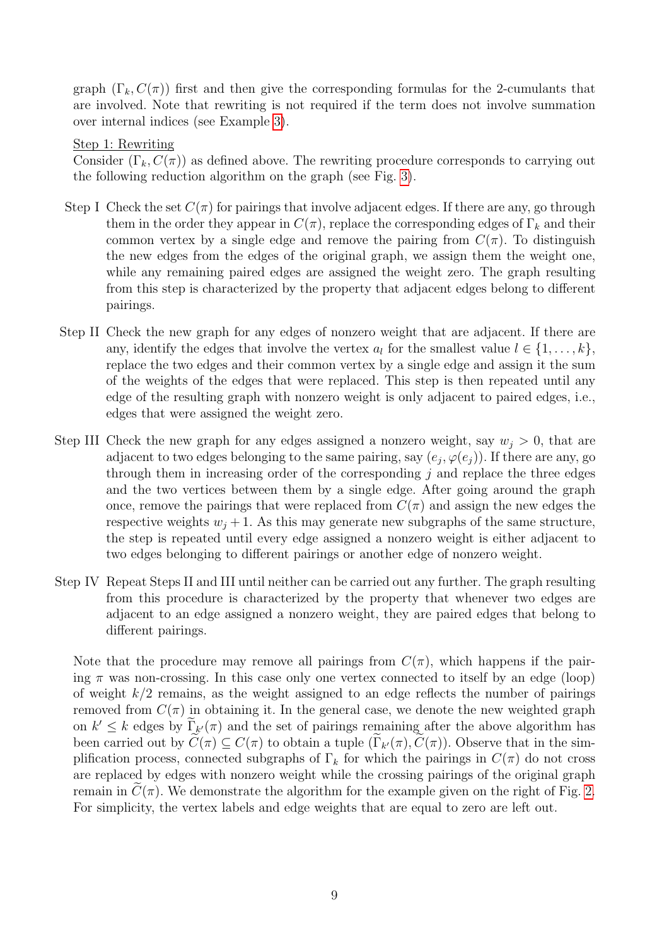graph  $(\Gamma_k, C(\pi))$  first and then give the corresponding formulas for the 2-cumulants that are involved. Note that rewriting is not required if the term does not involve summation over internal indices (see Example [3\)](#page-3-4).

#### Step 1: Rewriting

Consider  $(\Gamma_k, C(\pi))$  as defined above. The rewriting procedure corresponds to carrying out the following reduction algorithm on the graph (see Fig. [3\)](#page-9-0).

- Step I Check the set  $C(\pi)$  for pairings that involve adjacent edges. If there are any, go through them in the order they appear in  $C(\pi)$ , replace the corresponding edges of  $\Gamma_k$  and their common vertex by a single edge and remove the pairing from  $C(\pi)$ . To distinguish the new edges from the edges of the original graph, we assign them the weight one, while any remaining paired edges are assigned the weight zero. The graph resulting from this step is characterized by the property that adjacent edges belong to different pairings.
- Step II Check the new graph for any edges of nonzero weight that are adjacent. If there are any, identify the edges that involve the vertex  $a_l$  for the smallest value  $l \in \{1, \ldots, k\}$ , replace the two edges and their common vertex by a single edge and assign it the sum of the weights of the edges that were replaced. This step is then repeated until any edge of the resulting graph with nonzero weight is only adjacent to paired edges, i.e., edges that were assigned the weight zero.
- Step III Check the new graph for any edges assigned a nonzero weight, say  $w_j > 0$ , that are adjacent to two edges belonging to the same pairing, say  $(e_j, \varphi(e_j))$ . If there are any, go through them in increasing order of the corresponding  $j$  and replace the three edges and the two vertices between them by a single edge. After going around the graph once, remove the pairings that were replaced from  $C(\pi)$  and assign the new edges the respective weights  $w_i + 1$ . As this may generate new subgraphs of the same structure, the step is repeated until every edge assigned a nonzero weight is either adjacent to two edges belonging to different pairings or another edge of nonzero weight.
- Step IV Repeat Steps II and III until neither can be carried out any further. The graph resulting from this procedure is characterized by the property that whenever two edges are adjacent to an edge assigned a nonzero weight, they are paired edges that belong to different pairings.

Note that the procedure may remove all pairings from  $C(\pi)$ , which happens if the pairing  $\pi$  was non-crossing. In this case only one vertex connected to itself by an edge (loop) of weight  $k/2$  remains, as the weight assigned to an edge reflects the number of pairings removed from  $C(\pi)$  in obtaining it. In the general case, we denote the new weighted graph on  $k' \leq k$  edges by  $\Gamma_{k'}(\pi)$  and the set of pairings remaining after the above algorithm has been carried out by  $C(\pi) \subseteq C(\pi)$  to obtain a tuple  $(\Gamma_{k'}(\pi), C(\pi))$ . Observe that in the simplification process, connected subgraphs of  $\Gamma_k$  for which the pairings in  $C(\pi)$  do not cross are replaced by edges with nonzero weight while the crossing pairings of the original graph remain in  $C(\pi)$ . We demonstrate the algorithm for the example given on the right of Fig. [2.](#page-6-0) For simplicity, the vertex labels and edge weights that are equal to zero are left out.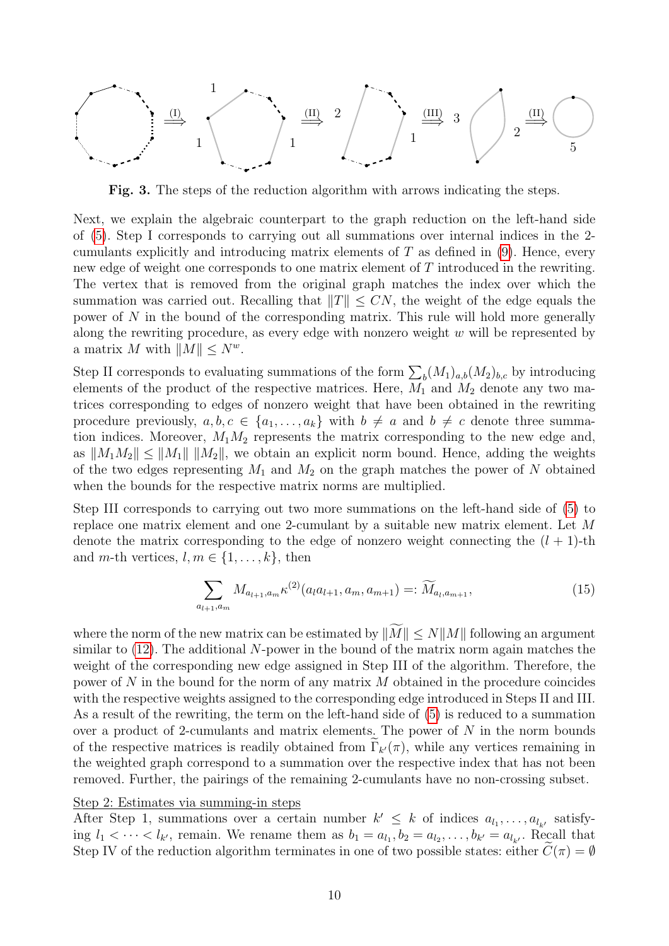<span id="page-9-0"></span>
$$
\begin{array}{c}\n\begin{array}{c}\n1 \\
\end{array}\n\end{array}\n\end{array}\n\begin{array}{c}\n\begin{array}{c}\n1 \\
\end{array}\n\end{array}\n\begin{array}{c}\n\begin{array}{c}\n\begin{array}{c}\n\begin{array}{c}\n\begin{array}{c}\n\begin{array}{c}\n\begin{array}{c}\n\end{array}\n\end{array}\n\end{array}\n\end{array}\n\end{array}\n\begin{array}{c}\n\begin{array}{c}\n\begin{array}{c}\n\begin{array}{c}\n\begin{array}{c}\n\end{array}\n\end{array}\n\end{array}\n\end{array}\n\end{array}\n\end{array}\n\begin{array}{c}\n\begin{array}{c}\n\begin{array}{c}\n\begin{array}{c}\n\begin{array}{c}\n\end{array}\n\end{array}\n\end{array}\n\end{array}
$$

Fig. 3. The steps of the reduction algorithm with arrows indicating the steps.

Next, we explain the algebraic counterpart to the graph reduction on the left-hand side of [\(5\)](#page-3-1). Step I corresponds to carrying out all summations over internal indices in the 2 cumulants explicitly and introducing matrix elements of  $T$  as defined in  $(9)$ . Hence, every new edge of weight one corresponds to one matrix element of T introduced in the rewriting. The vertex that is removed from the original graph matches the index over which the summation was carried out. Recalling that  $||T|| \leq CN$ , the weight of the edge equals the power of N in the bound of the corresponding matrix. This rule will hold more generally along the rewriting procedure, as every edge with nonzero weight  $w$  will be represented by a matrix M with  $||M|| \leq N^w$ .

Step II corresponds to evaluating summations of the form  $\sum_{b} (M_1)_{a,b} (M_2)_{b,c}$  by introducing elements of the product of the respective matrices. Here,  $M_1$  and  $M_2$  denote any two matrices corresponding to edges of nonzero weight that have been obtained in the rewriting procedure previously,  $a, b, c \in \{a_1, \ldots, a_k\}$  with  $b \neq a$  and  $b \neq c$  denote three summation indices. Moreover,  $M_1M_2$  represents the matrix corresponding to the new edge and, as  $||M_1M_2|| \le ||M_1|| \, ||M_2||$ , we obtain an explicit norm bound. Hence, adding the weights of the two edges representing  $M_1$  and  $M_2$  on the graph matches the power of N obtained when the bounds for the respective matrix norms are multiplied.

Step III corresponds to carrying out two more summations on the left-hand side of [\(5\)](#page-3-1) to replace one matrix element and one 2-cumulant by a suitable new matrix element. Let M denote the matrix corresponding to the edge of nonzero weight connecting the  $(l + 1)$ -th and m-th vertices,  $l, m \in \{1, \ldots, k\}$ , then

<span id="page-9-1"></span>
$$
\sum_{a_{l+1}, a_m} M_{a_{l+1}, a_m} \kappa^{(2)}(a_l a_{l+1}, a_m, a_{m+1}) =: \widetilde{M}_{a_l, a_{m+1}},
$$
\n(15)

where the norm of the new matrix can be estimated by  $\|\widetilde{M}\| \leq N\|M\|$  following an argument similar to  $(12)$ . The additional N-power in the bound of the matrix norm again matches the weight of the corresponding new edge assigned in Step III of the algorithm. Therefore, the power of N in the bound for the norm of any matrix M obtained in the procedure coincides with the respective weights assigned to the corresponding edge introduced in Steps II and III. As a result of the rewriting, the term on the left-hand side of [\(5\)](#page-3-1) is reduced to a summation over a product of 2-cumulants and matrix elements. The power of  $N$  in the norm bounds of the respective matrices is readily obtained from  $\Gamma_{k'}(\pi)$ , while any vertices remaining in the weighted graph correspond to a summation over the respective index that has not been removed. Further, the pairings of the remaining 2-cumulants have no non-crossing subset.

#### Step 2: Estimates via summing-in steps

After Step 1, summations over a certain number  $k' \leq k$  of indices  $a_{l_1}, \ldots, a_{l_{k'}}$  satisfying  $l_1 < \cdots < l_{k'}$ , remain. We rename them as  $b_1 = a_{l_1}, b_2 = a_{l_2}, \ldots, b_{k'} = a_{l_{k'}}$ . Recall that Step IV of the reduction algorithm terminates in one of two possible states: either  $C(\pi) = \emptyset$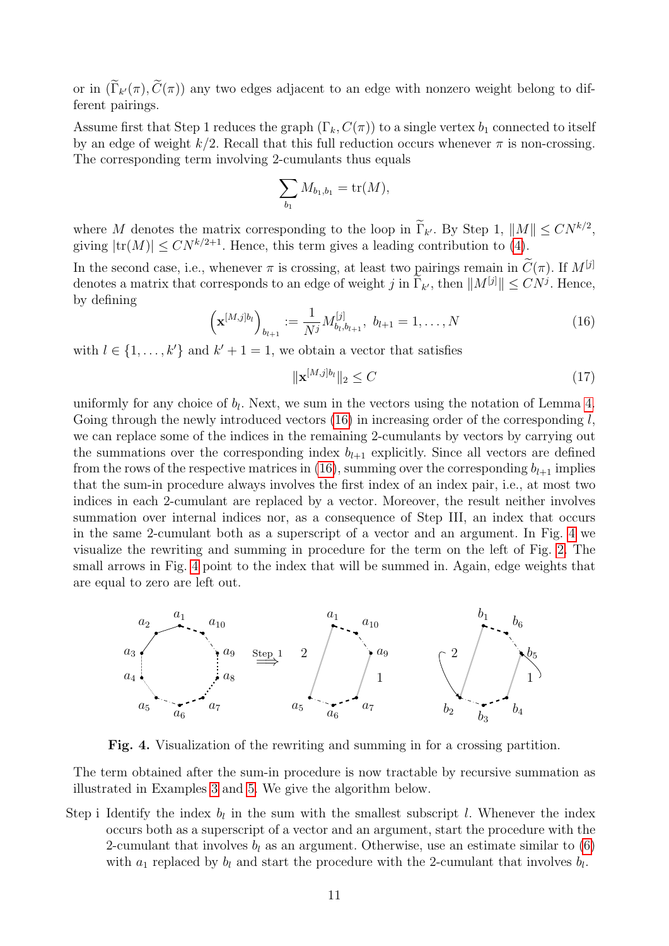or in  $(\Gamma_{k'}(\pi), C(\pi))$  any two edges adjacent to an edge with nonzero weight belong to different pairings.

Assume first that Step 1 reduces the graph  $(\Gamma_k, C(\pi))$  to a single vertex  $b_1$  connected to itself by an edge of weight  $k/2$ . Recall that this full reduction occurs whenever  $\pi$  is non-crossing. The corresponding term involving 2-cumulants thus equals

$$
\sum_{b_1} M_{b_1,b_1} = \text{tr}(M),
$$

where M denotes the matrix corresponding to the loop in  $\tilde{\Gamma}_{k'}$ . By Step 1,  $||M|| \leq CN^{k/2}$ , giving  $|\text{tr}(M)| \leq CN^{k/2+1}$ . Hence, this term gives a leading contribution to [\(4\)](#page-2-2).

In the second case, i.e., whenever  $\pi$  is crossing, at least two pairings remain in  $\tilde{C}(\pi)$ . If  $M^{[j]}$ denotes a matrix that corresponds to an edge of weight j in  $\Gamma_{k'}$ , then  $||M^{[j]}|| \leq CN^{j}$ . Hence, by defining

<span id="page-10-0"></span>
$$
\left(\mathbf{x}^{[M,j]b_l}\right)_{b_{l+1}} := \frac{1}{N^j} M_{b_l, b_{l+1}}^{[j]}, \ b_{l+1} = 1, \dots, N
$$
\n(16)

with  $l \in \{1, \ldots, k'\}$  and  $k' + 1 = 1$ , we obtain a vector that satisfies

<span id="page-10-2"></span>
$$
\|\mathbf{x}^{[M,j]b_l}\|_2 \le C\tag{17}
$$

uniformly for any choice of  $b_l$ . Next, we sum in the vectors using the notation of Lemma [4.](#page-4-0) Going through the newly introduced vectors  $(16)$  in increasing order of the corresponding l, we can replace some of the indices in the remaining 2-cumulants by vectors by carrying out the summations over the corresponding index  $b_{l+1}$  explicitly. Since all vectors are defined from the rows of the respective matrices in [\(16\)](#page-10-0), summing over the corresponding  $b_{l+1}$  implies that the sum-in procedure always involves the first index of an index pair, i.e., at most two indices in each 2-cumulant are replaced by a vector. Moreover, the result neither involves summation over internal indices nor, as a consequence of Step III, an index that occurs in the same 2-cumulant both as a superscript of a vector and an argument. In Fig. [4](#page-10-1) we visualize the rewriting and summing in procedure for the term on the left of Fig. [2.](#page-6-0) The small arrows in Fig. [4](#page-10-1) point to the index that will be summed in. Again, edge weights that are equal to zero are left out.

<span id="page-10-1"></span>

Fig. 4. Visualization of the rewriting and summing in for a crossing partition.

The term obtained after the sum-in procedure is now tractable by recursive summation as illustrated in Examples [3](#page-3-4) and [5.](#page-6-5) We give the algorithm below.

Step i Identify the index  $b_l$  in the sum with the smallest subscript l. Whenever the index occurs both as a superscript of a vector and an argument, start the procedure with the 2-cumulant that involves  $b_l$  as an argument. Otherwise, use an estimate similar to [\(6\)](#page-3-5) with  $a_1$  replaced by  $b_l$  and start the procedure with the 2-cumulant that involves  $b_l$ .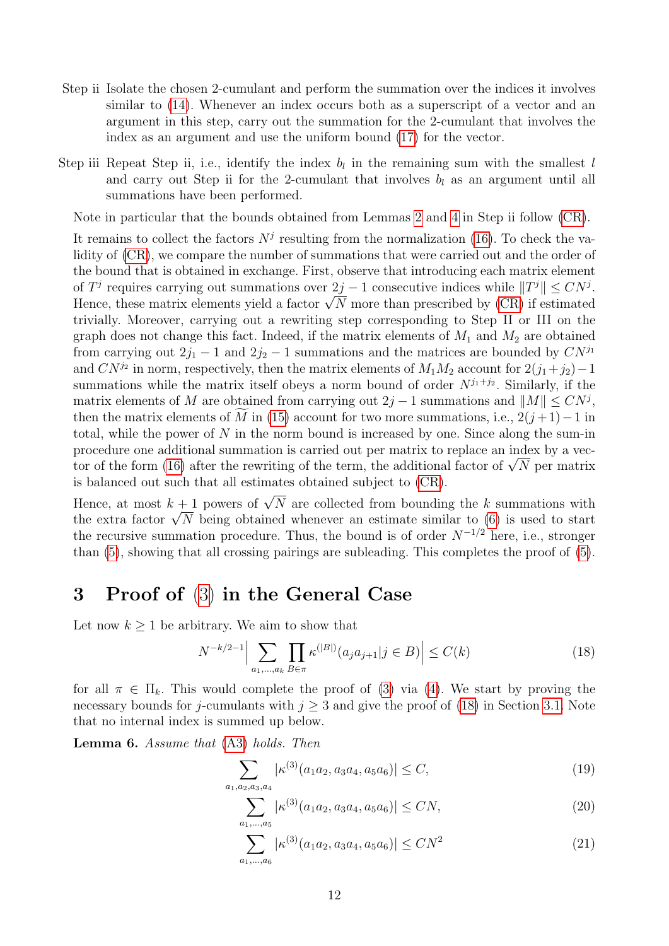- Step ii Isolate the chosen 2-cumulant and perform the summation over the indices it involves similar to [\(14\)](#page-7-0). Whenever an index occurs both as a superscript of a vector and an argument in this step, carry out the summation for the 2-cumulant that involves the index as an argument and use the uniform bound [\(17\)](#page-10-2) for the vector.
- Step iii Repeat Step ii, i.e., identify the index  $b_l$  in the remaining sum with the smallest l and carry out Step ii for the 2-cumulant that involves  $b_l$  as an argument until all summations have been performed.

Note in particular that the bounds obtained from Lemmas [2](#page-3-3) and [4](#page-4-0) in Step ii follow [\(CR\)](#page-2-3).

It remains to collect the factors  $N<sup>j</sup>$  resulting from the normalization [\(16\)](#page-10-0). To check the validity of  $(CR)$ , we compare the number of summations that were carried out and the order of the bound that is obtained in exchange. First, observe that introducing each matrix element of  $T^j$  requires carrying out summations over  $2j - 1$  consecutive indices while  $||T^j|| \leq CN^j$ . or  $I^{\beta}$  requires carrying out summations over  $2j - 1$  consecutive indices while  $||I^{\beta}|| \leq C N^{\beta}$ .<br>Hence, these matrix elements yield a factor  $\sqrt{N}$  more than prescribed by [\(CR\)](#page-2-3) if estimated trivially. Moreover, carrying out a rewriting step corresponding to Step II or III on the graph does not change this fact. Indeed, if the matrix elements of  $M_1$  and  $M_2$  are obtained from carrying out  $2j_1 - 1$  and  $2j_2 - 1$  summations and the matrices are bounded by  $CN^{j_1}$ and  $CN^{j_2}$  in norm, respectively, then the matrix elements of  $M_1M_2$  account for  $2(j_1+j_2)-1$ summations while the matrix itself obeys a norm bound of order  $N^{j_1+j_2}$ . Similarly, if the matrix elements of M are obtained from carrying out  $2j - 1$  summations and  $||M|| \leq CN^{j}$ , then the matrix elements of M in [\(15\)](#page-9-1) account for two more summations, i.e.,  $2(j+1)-1$  in total, while the power of N in the norm bound is increased by one. Since along the sum-in procedure one additional summation is carried out per matrix to replace an index by a vec-proceaure one additional summation is carried out per matrix to replace an index by a vector of the form [\(16\)](#page-10-0) after the rewriting of the term, the additional factor of  $\sqrt{N}$  per matrix is balanced out such that all estimates obtained subject to [\(CR\)](#page-2-3).

Hence, at most  $k + 1$  powers of  $\sqrt{N}$  are collected from bounding the k summations with Hence, at most  $\kappa + 1$  powers of  $\sqrt{N}$  are collected from bounding the  $\kappa$  summations with the extra factor  $\sqrt{N}$  being obtained whenever an estimate similar to [\(6\)](#page-3-5) is used to start the recursive summation procedure. Thus, the bound is of order  $N^{-1/2}$  here, i.e., stronger than [\(5\)](#page-3-1), showing that all crossing pairings are subleading. This completes the proof of [\(5\)](#page-3-1).

## <span id="page-11-0"></span>3 Proof of [\(3\)](#page-2-1) in the General Case

Let now  $k \geq 1$  be arbitrary. We aim to show that

<span id="page-11-1"></span>
$$
N^{-k/2-1} \Big| \sum_{a_1, \dots, a_k} \prod_{B \in \pi} \kappa^{(|B|)}(a_j a_{j+1} | j \in B) \Big| \le C(k)
$$
 (18)

for all  $\pi \in \Pi_k$ . This would complete the proof of [\(3\)](#page-2-1) via [\(4\)](#page-2-2). We start by proving the necessary bounds for j-cumulants with  $j \geq 3$  and give the proof of [\(18\)](#page-11-1) in Section [3.1.](#page-15-0) Note that no internal index is summed up below.

<span id="page-11-5"></span>Lemma 6. Assume that [\(A3\)](#page-1-0) holds. Then

$$
\sum_{a_1, a_2, a_3, a_4} |\kappa^{(3)}(a_1 a_2, a_3 a_4, a_5 a_6)| \le C,\tag{19}
$$

<span id="page-11-4"></span><span id="page-11-3"></span><span id="page-11-2"></span>
$$
\sum_{a_1,\dots,a_5} |\kappa^{(3)}(a_1 a_2, a_3 a_4, a_5 a_6)| \le CN,
$$
\n(20)

$$
\sum_{a_1,\dots,a_6} |\kappa^{(3)}(a_1 a_2, a_3 a_4, a_5 a_6)| \le CN^2 \tag{21}
$$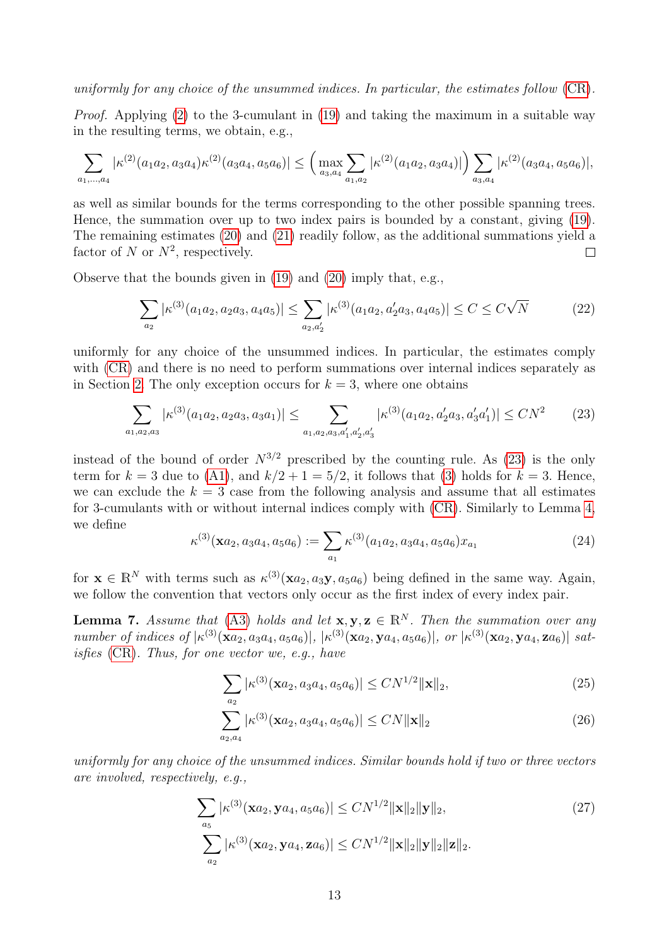#### uniformly for any choice of the unsummed indices. In particular, the estimates follow [\(CR\)](#page-2-3).

Proof. Applying [\(2\)](#page-1-3) to the 3-cumulant in [\(19\)](#page-11-2) and taking the maximum in a suitable way in the resulting terms, we obtain, e.g.,

$$
\sum_{a_1,\dots,a_4} |\kappa^{(2)}(a_1a_2,a_3a_4)\kappa^{(2)}(a_3a_4,a_5a_6)| \leq \left(\max_{a_3,a_4} \sum_{a_1,a_2} |\kappa^{(2)}(a_1a_2,a_3a_4)|\right) \sum_{a_3,a_4} |\kappa^{(2)}(a_3a_4,a_5a_6)|,
$$

as well as similar bounds for the terms corresponding to the other possible spanning trees. Hence, the summation over up to two index pairs is bounded by a constant, giving [\(19\)](#page-11-2). The remaining estimates [\(20\)](#page-11-3) and [\(21\)](#page-11-4) readily follow, as the additional summations yield a factor of N or  $N^2$ , respectively.  $\Box$ 

Observe that the bounds given in [\(19\)](#page-11-2) and [\(20\)](#page-11-3) imply that, e.g.,

<span id="page-12-1"></span>
$$
\sum_{a_2} |\kappa^{(3)}(a_1 a_2, a_2 a_3, a_4 a_5)| \le \sum_{a_2, a_2'} |\kappa^{(3)}(a_1 a_2, a_2' a_3, a_4 a_5)| \le C \le C\sqrt{N}
$$
 (22)

uniformly for any choice of the unsummed indices. In particular, the estimates comply with [\(CR\)](#page-2-3) and there is no need to perform summations over internal indices separately as in Section [2.](#page-3-0) The only exception occurs for  $k = 3$ , where one obtains

<span id="page-12-0"></span>
$$
\sum_{a_1, a_2, a_3} |\kappa^{(3)}(a_1 a_2, a_2 a_3, a_3 a_1)| \leq \sum_{a_1, a_2, a_3, a'_1, a'_2, a'_3} |\kappa^{(3)}(a_1 a_2, a'_2 a_3, a'_3 a'_1)| \leq CN^2 \tag{23}
$$

instead of the bound of order  $N^{3/2}$  prescribed by the counting rule. As [\(23\)](#page-12-0) is the only term for  $k = 3$  due to [\(A1\)](#page-1-4), and  $k/2 + 1 = 5/2$ , it follows that [\(3\)](#page-2-1) holds for  $k = 3$ . Hence, we can exclude the  $k = 3$  case from the following analysis and assume that all estimates for 3-cumulants with or without internal indices comply with [\(CR\)](#page-2-3). Similarly to Lemma [4,](#page-4-0) we define

<span id="page-12-5"></span>
$$
\kappa^{(3)}(\mathbf{x}a_2, a_3a_4, a_5a_6) := \sum_{a_1} \kappa^{(3)}(a_1a_2, a_3a_4, a_5a_6)x_{a_1}
$$
\n(24)

for  $\mathbf{x} \in \mathbb{R}^N$  with terms such as  $\kappa^{(3)}(\mathbf{x}a_2, a_3\mathbf{y}, a_5a_6)$  being defined in the same way. Again, we follow the convention that vectors only occur as the first index of every index pair.

<span id="page-12-6"></span>**Lemma 7.** Assume that [\(A3\)](#page-1-0) holds and let  $\mathbf{x}, \mathbf{y}, \mathbf{z} \in \mathbb{R}^N$ . Then the summation over any number of indices of  $|\kappa^{(3)}(\mathbf{x}a_2, a_3a_4, a_5a_6)|, |\kappa^{(3)}(\mathbf{x}a_2, \mathbf{y}a_4, a_5a_6)|,$  or  $|\kappa^{(3)}(\mathbf{x}a_2, \mathbf{y}a_4, \mathbf{z}a_6)|$  satisfies [\(CR\)](#page-2-3). Thus, for one vector we, e.g., have

<span id="page-12-3"></span><span id="page-12-2"></span>
$$
\sum_{a_2} |\kappa^{(3)}(\mathbf{x}a_2, a_3a_4, a_5a_6)| \le CN^{1/2} \|\mathbf{x}\|_2,
$$
\n(25)

<span id="page-12-4"></span>
$$
\sum_{a_2, a_4} |\kappa^{(3)}(\mathbf{x}a_2, a_3a_4, a_5a_6)| \le CN \|\mathbf{x}\|_2
$$
\n(26)

uniformly for any choice of the unsummed indices. Similar bounds hold if two or three vectors are involved, respectively, e.g.,

$$
\sum_{a_5} |\kappa^{(3)}(\mathbf{x}a_2, \mathbf{y}a_4, a_5a_6)| \le CN^{1/2} \|\mathbf{x}\|_2 \|\mathbf{y}\|_2,
$$
\n
$$
\sum_{a_2} |\kappa^{(3)}(\mathbf{x}a_2, \mathbf{y}a_4, \mathbf{z}a_6)| \le CN^{1/2} \|\mathbf{x}\|_2 \|\mathbf{y}\|_2 \|\mathbf{z}\|_2.
$$
\n(27)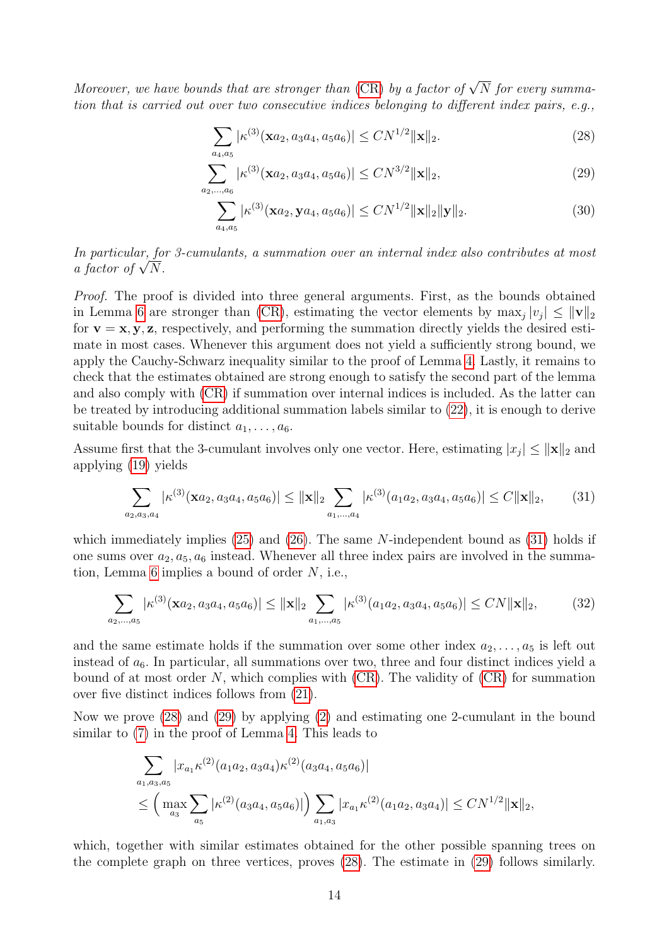Moreover, we have bounds that are stronger than [\(CR\)](#page-2-3) by a factor of  $\sqrt{N}$  for every summation that is carried out over two consecutive indices belonging to different index pairs, e.g.,

<span id="page-13-1"></span>
$$
\sum_{a_4, a_5} |\kappa^{(3)}(\mathbf{x}a_2, a_3a_4, a_5a_6)| \le CN^{1/2} \|\mathbf{x}\|_2.
$$
 (28)

$$
\sum_{a_2,\dots,a_6} |\kappa^{(3)}(\mathbf{x}a_2,a_3a_4,a_5a_6)| \le CN^{3/2} \|\mathbf{x}\|_2,
$$
\n(29)

<span id="page-13-4"></span><span id="page-13-2"></span>
$$
\sum_{a_4, a_5} |\kappa^{(3)}(\mathbf{x}a_2, \mathbf{y}a_4, a_5a_6)| \le CN^{1/2} \|\mathbf{x}\|_2 \|\mathbf{y}\|_2.
$$
 (30)

In particular, for 3-cumulants, a summation over an internal index also contributes at most *in particular, jo*<br>*a factor of*  $\sqrt{N}$ .

Proof. The proof is divided into three general arguments. First, as the bounds obtained in Lemma [6](#page-11-5) are stronger than [\(CR\)](#page-2-3), estimating the vector elements by  $\max_j |v_j| \le ||\mathbf{v}||_2$ for  $\mathbf{v} = \mathbf{x}, \mathbf{y}, \mathbf{z}$ , respectively, and performing the summation directly yields the desired estimate in most cases. Whenever this argument does not yield a sufficiently strong bound, we apply the Cauchy-Schwarz inequality similar to the proof of Lemma [4.](#page-4-0) Lastly, it remains to check that the estimates obtained are strong enough to satisfy the second part of the lemma and also comply with [\(CR\)](#page-2-3) if summation over internal indices is included. As the latter can be treated by introducing additional summation labels similar to [\(22\)](#page-12-1), it is enough to derive suitable bounds for distinct  $a_1, \ldots, a_6$ .

Assume first that the 3-cumulant involves only one vector. Here, estimating  $|x_j| \le ||\mathbf{x}||_2$  and applying [\(19\)](#page-11-2) yields

<span id="page-13-3"></span><span id="page-13-0"></span>
$$
\sum_{a_2, a_3, a_4} |\kappa^{(3)}(\mathbf{x}a_2, a_3a_4, a_5a_6)| \le ||\mathbf{x}||_2 \sum_{a_1, \dots, a_4} |\kappa^{(3)}(a_1a_2, a_3a_4, a_5a_6)| \le C ||\mathbf{x}||_2, \tag{31}
$$

which immediately implies  $(25)$  and  $(26)$ . The same N-independent bound as  $(31)$  holds if one sums over  $a_2, a_5, a_6$  instead. Whenever all three index pairs are involved in the summa-tion, Lemma [6](#page-11-5) implies a bound of order  $N$ , i.e.,

$$
\sum_{a_2,\dots,a_5} |\kappa^{(3)}(\mathbf{x}a_2,a_3a_4,a_5a_6)| \le ||\mathbf{x}||_2 \sum_{a_1,\dots,a_5} |\kappa^{(3)}(a_1a_2,a_3a_4,a_5a_6)| \le CN \|\mathbf{x}\|_2,
$$
 (32)

and the same estimate holds if the summation over some other index  $a_2, \ldots, a_5$  is left out instead of  $a_6$ . In particular, all summations over two, three and four distinct indices yield a bound of at most order  $N$ , which complies with  $(CR)$ . The validity of  $(CR)$  for summation over five distinct indices follows from [\(21\)](#page-11-4).

Now we prove [\(28\)](#page-13-1) and [\(29\)](#page-13-2) by applying [\(2\)](#page-1-3) and estimating one 2-cumulant in the bound similar to [\(7\)](#page-5-1) in the proof of Lemma [4.](#page-4-0) This leads to

$$
\sum_{a_1, a_3, a_5} |x_{a_1} \kappa^{(2)}(a_1 a_2, a_3 a_4) \kappa^{(2)}(a_3 a_4, a_5 a_6)|
$$
  

$$
\leq \left( \max_{a_3} \sum_{a_5} |\kappa^{(2)}(a_3 a_4, a_5 a_6)| \right) \sum_{a_1, a_3} |x_{a_1} \kappa^{(2)}(a_1 a_2, a_3 a_4)| \leq C N^{1/2} ||\mathbf{x}||_2,
$$

which, together with similar estimates obtained for the other possible spanning trees on the complete graph on three vertices, proves [\(28\)](#page-13-1). The estimate in [\(29\)](#page-13-2) follows similarly.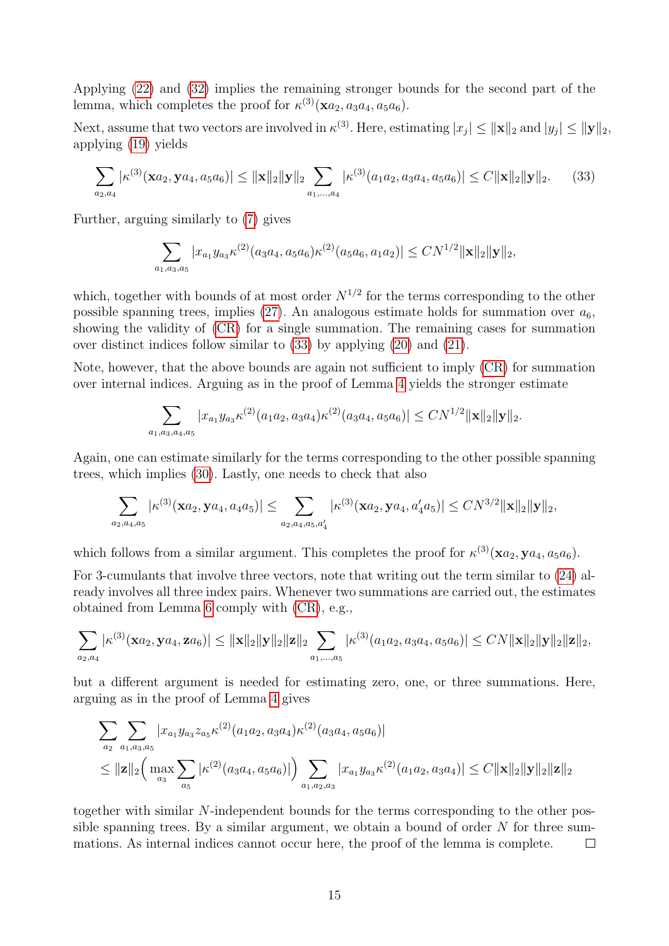Applying [\(22\)](#page-12-1) and [\(32\)](#page-13-3) implies the remaining stronger bounds for the second part of the lemma, which completes the proof for  $\kappa^{(3)}(\mathbf{x}a_2, a_3a_4, a_5a_6)$ .

Next, assume that two vectors are involved in  $\kappa^{(3)}$ . Here, estimating  $|x_j| \le ||\mathbf{x}||_2$  and  $|y_j| \le ||\mathbf{y}||_2$ , applying [\(19\)](#page-11-2) yields

$$
\sum_{a_2,a_4} |\kappa^{(3)}(\mathbf{x}a_2,\mathbf{y}a_4,a_5a_6)| \le ||\mathbf{x}||_2 ||\mathbf{y}||_2 \sum_{a_1,\dots,a_4} |\kappa^{(3)}(a_1a_2,a_3a_4,a_5a_6)| \le C ||\mathbf{x}||_2 ||\mathbf{y}||_2.
$$
 (33)

Further, arguing similarly to [\(7\)](#page-5-1) gives

<span id="page-14-0"></span>
$$
\sum_{a_1, a_3, a_5} |x_{a_1} y_{a_3} \kappa^{(2)}(a_3 a_4, a_5 a_6) \kappa^{(2)}(a_5 a_6, a_1 a_2)| \leq C N^{1/2} ||\mathbf{x}||_2 ||\mathbf{y}||_2,
$$

which, together with bounds of at most order  $N^{1/2}$  for the terms corresponding to the other possible spanning trees, implies [\(27\)](#page-12-4). An analogous estimate holds for summation over  $a_6$ , showing the validity of [\(CR\)](#page-2-3) for a single summation. The remaining cases for summation over distinct indices follow similar to [\(33\)](#page-14-0) by applying [\(20\)](#page-11-3) and [\(21\)](#page-11-4).

Note, however, that the above bounds are again not sufficient to imply [\(CR\)](#page-2-3) for summation over internal indices. Arguing as in the proof of Lemma [4](#page-4-0) yields the stronger estimate

$$
\sum_{a_1,a_3,a_4,a_5} |x_{a_1}y_{a_3}\kappa^{(2)}(a_1a_2,a_3a_4)\kappa^{(2)}(a_3a_4,a_5a_6)| \le CN^{1/2} \|\mathbf{x}\|_2 \|\mathbf{y}\|_2.
$$

Again, one can estimate similarly for the terms corresponding to the other possible spanning trees, which implies [\(30\)](#page-13-4). Lastly, one needs to check that also

$$
\sum_{a_2,a_4,a_5} |\kappa^{(3)}(\mathbf{x}a_2,\mathbf{y}a_4,a_4a_5)| \leq \sum_{a_2,a_4,a_5,a_4'} |\kappa^{(3)}(\mathbf{x}a_2,\mathbf{y}a_4,a_4'a_5)| \leq CN^{3/2} \|\mathbf{x}\|_2 \|\mathbf{y}\|_2,
$$

which follows from a similar argument. This completes the proof for  $\kappa^{(3)}(\mathbf{x}a_2, \mathbf{y}a_4, a_5a_6)$ .

For 3-cumulants that involve three vectors, note that writing out the term similar to [\(24\)](#page-12-5) already involves all three index pairs. Whenever two summations are carried out, the estimates obtained from Lemma [6](#page-11-5) comply with [\(CR\)](#page-2-3), e.g.,

$$
\sum_{a_2,a_4} |\kappa^{(3)}(\mathbf{x}a_2,\mathbf{y}a_4,\mathbf{z}a_6)| \leq ||\mathbf{x}||_2 ||\mathbf{y}||_2 ||\mathbf{z}||_2 \sum_{a_1,...,a_5} |\kappa^{(3)}(a_1a_2,a_3a_4,a_5a_6)| \leq CN ||\mathbf{x}||_2 ||\mathbf{y}||_2 ||\mathbf{z}||_2,
$$

but a different argument is needed for estimating zero, one, or three summations. Here, arguing as in the proof of Lemma [4](#page-4-0) gives

$$
\sum_{a_2} \sum_{a_1, a_3, a_5} |x_{a_1} y_{a_3} z_{a_5} \kappa^{(2)}(a_1 a_2, a_3 a_4) \kappa^{(2)}(a_3 a_4, a_5 a_6)|
$$
  
\n
$$
\leq ||\mathbf{z}||_2 \Big( \max_{a_3} \sum_{a_5} |\kappa^{(2)}(a_3 a_4, a_5 a_6)| \Big) \sum_{a_1, a_2, a_3} |x_{a_1} y_{a_3} \kappa^{(2)}(a_1 a_2, a_3 a_4)| \leq C ||\mathbf{x}||_2 ||\mathbf{y}||_2 ||\mathbf{z}||_2
$$

together with similar N-independent bounds for the terms corresponding to the other possible spanning trees. By a similar argument, we obtain a bound of order  $N$  for three summations. As internal indices cannot occur here, the proof of the lemma is complete.  $\Box$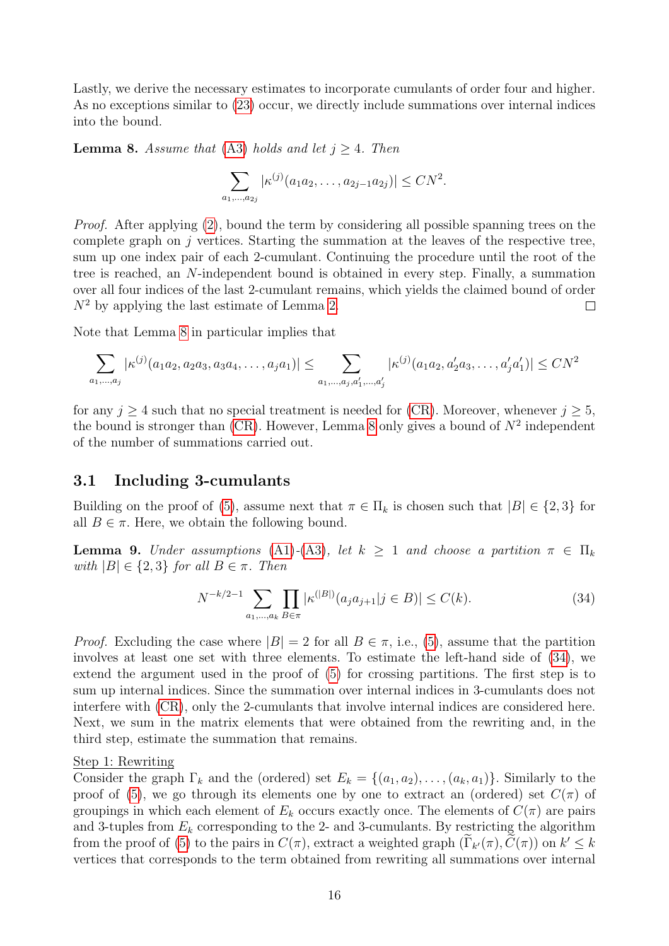Lastly, we derive the necessary estimates to incorporate cumulants of order four and higher. As no exceptions similar to [\(23\)](#page-12-0) occur, we directly include summations over internal indices into the bound.

<span id="page-15-1"></span>**Lemma 8.** Assume that [\(A3\)](#page-1-0) holds and let  $j \geq 4$ . Then

$$
\sum_{a_1,\dots,a_{2j}} |\kappa^{(j)}(a_1 a_2,\dots,a_{2j-1} a_{2j})| \leq C N^2.
$$

Proof. After applying [\(2\)](#page-1-3), bound the term by considering all possible spanning trees on the complete graph on  $j$  vertices. Starting the summation at the leaves of the respective tree, sum up one index pair of each 2-cumulant. Continuing the procedure until the root of the tree is reached, an N-independent bound is obtained in every step. Finally, a summation over all four indices of the last 2-cumulant remains, which yields the claimed bound of order  $N^2$  by applying the last estimate of Lemma [2.](#page-3-3)  $\Box$ 

Note that Lemma [8](#page-15-1) in particular implies that

$$
\sum_{a_1,\dots,a_j} |\kappa^{(j)}(a_1a_2,a_2a_3,a_3a_4,\dots,a_ja_1)| \leq \sum_{a_1,\dots,a_j,a'_1,\dots,a'_j} |\kappa^{(j)}(a_1a_2,a'_2a_3,\dots,a'_ja'_1)| \leq CN^2
$$

for any  $j \geq 4$  such that no special treatment is needed for [\(CR\)](#page-2-3). Moreover, whenever  $j \geq 5$ , the bound is stronger than  $(CR)$ . However, Lemma [8](#page-15-1) only gives a bound of  $N^2$  independent of the number of summations carried out.

#### <span id="page-15-0"></span>3.1 Including 3-cumulants

Building on the proof of [\(5\)](#page-3-1), assume next that  $\pi \in \Pi_k$  is chosen such that  $|B| \in \{2,3\}$  for all  $B \in \pi$ . Here, we obtain the following bound.

<span id="page-15-3"></span>**Lemma 9.** Under assumptions [\(A1\)](#page-1-4)-[\(A3\)](#page-1-0), let  $k \geq 1$  and choose a partition  $\pi \in \Pi_k$ with  $|B| \in \{2,3\}$  for all  $B \in \pi$ . Then

<span id="page-15-2"></span>
$$
N^{-k/2-1} \sum_{a_1,\dots,a_k} \prod_{B \in \pi} |\kappa^{(|B|)}(a_j a_{j+1} | j \in B)| \le C(k). \tag{34}
$$

*Proof.* Excluding the case where  $|B| = 2$  for all  $B \in \pi$ , i.e., [\(5\)](#page-3-1), assume that the partition involves at least one set with three elements. To estimate the left-hand side of [\(34\)](#page-15-2), we extend the argument used in the proof of [\(5\)](#page-3-1) for crossing partitions. The first step is to sum up internal indices. Since the summation over internal indices in 3-cumulants does not interfere with [\(CR\)](#page-2-3), only the 2-cumulants that involve internal indices are considered here. Next, we sum in the matrix elements that were obtained from the rewriting and, in the third step, estimate the summation that remains.

#### Step 1: Rewriting

Consider the graph  $\Gamma_k$  and the (ordered) set  $E_k = \{(a_1, a_2), \ldots, (a_k, a_1)\}\.$  Similarly to the proof of [\(5\)](#page-3-1), we go through its elements one by one to extract an (ordered) set  $C(\pi)$  of groupings in which each element of  $E_k$  occurs exactly once. The elements of  $C(\pi)$  are pairs and 3-tuples from  $E_k$  corresponding to the 2- and 3-cumulants. By restricting the algorithm from the proof of [\(5\)](#page-3-1) to the pairs in  $C(\pi)$ , extract a weighted graph  $(\tilde{\Gamma}_{k'}(\pi), \tilde{C}(\pi))$  on  $k' \leq k$ vertices that corresponds to the term obtained from rewriting all summations over internal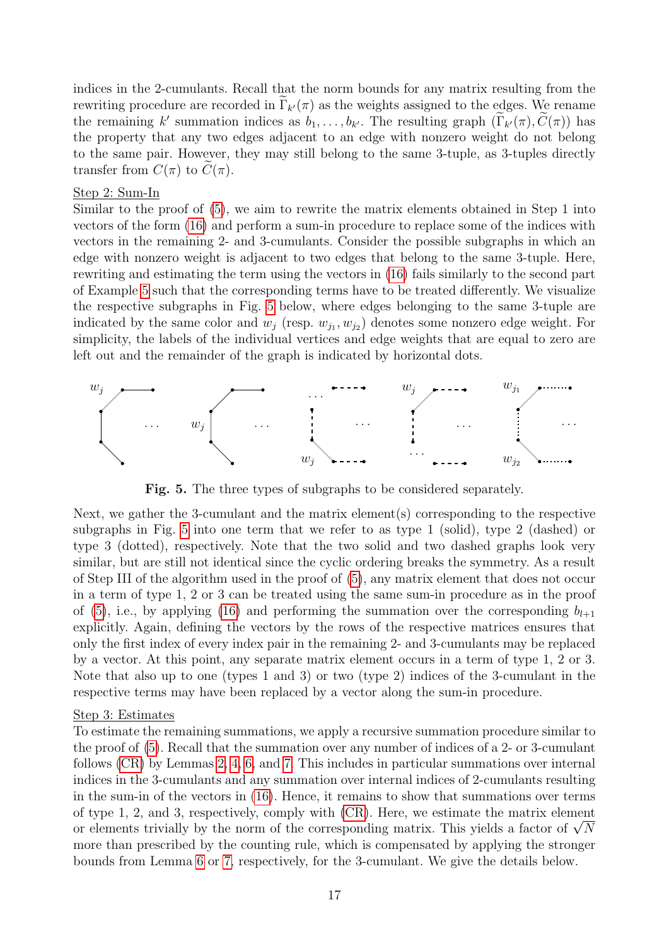indices in the 2-cumulants. Recall that the norm bounds for any matrix resulting from the rewriting procedure are recorded in  $\Gamma_{k'}(\pi)$  as the weights assigned to the edges. We rename the remaining k' summation indices as  $b_1, \ldots, b_{k'}$ . The resulting graph  $(\Gamma_{k'}(\pi), \tilde{C}(\pi))$  has the property that any two edges adjacent to an edge with nonzero weight do not belong to the same pair. However, they may still belong to the same 3-tuple, as 3-tuples directly transfer from  $C(\pi)$  to  $C(\pi)$ .

#### Step 2: Sum-In

Similar to the proof of [\(5\)](#page-3-1), we aim to rewrite the matrix elements obtained in Step 1 into vectors of the form [\(16\)](#page-10-0) and perform a sum-in procedure to replace some of the indices with vectors in the remaining 2- and 3-cumulants. Consider the possible subgraphs in which an edge with nonzero weight is adjacent to two edges that belong to the same 3-tuple. Here, rewriting and estimating the term using the vectors in [\(16\)](#page-10-0) fails similarly to the second part of Example [5](#page-6-5) such that the corresponding terms have to be treated differently. We visualize the respective subgraphs in Fig. [5](#page-16-0) below, where edges belonging to the same 3-tuple are indicated by the same color and  $w_j$  (resp.  $w_{j_1}, w_{j_2}$ ) denotes some nonzero edge weight. For simplicity, the labels of the individual vertices and edge weights that are equal to zero are left out and the remainder of the graph is indicated by horizontal dots.

<span id="page-16-0"></span>

Fig. 5. The three types of subgraphs to be considered separately.

Next, we gather the 3-cumulant and the matrix element(s) corresponding to the respective subgraphs in Fig. [5](#page-16-0) into one term that we refer to as type 1 (solid), type 2 (dashed) or type 3 (dotted), respectively. Note that the two solid and two dashed graphs look very similar, but are still not identical since the cyclic ordering breaks the symmetry. As a result of Step III of the algorithm used in the proof of [\(5\)](#page-3-1), any matrix element that does not occur in a term of type 1, 2 or 3 can be treated using the same sum-in procedure as in the proof of [\(5\)](#page-3-1), i.e., by applying [\(16\)](#page-10-0) and performing the summation over the corresponding  $b_{l+1}$ explicitly. Again, defining the vectors by the rows of the respective matrices ensures that only the first index of every index pair in the remaining 2- and 3-cumulants may be replaced by a vector. At this point, any separate matrix element occurs in a term of type 1, 2 or 3. Note that also up to one (types 1 and 3) or two (type 2) indices of the 3-cumulant in the respective terms may have been replaced by a vector along the sum-in procedure.

#### Step 3: Estimates

To estimate the remaining summations, we apply a recursive summation procedure similar to the proof of [\(5\)](#page-3-1). Recall that the summation over any number of indices of a 2- or 3-cumulant follows [\(CR\)](#page-2-3) by Lemmas [2,](#page-3-3) [4,](#page-4-0) [6,](#page-11-5) and [7.](#page-12-6) This includes in particular summations over internal indices in the 3-cumulants and any summation over internal indices of 2-cumulants resulting in the sum-in of the vectors in [\(16\)](#page-10-0). Hence, it remains to show that summations over terms of type 1, 2, and 3, respectively, comply with [\(CR\)](#page-2-3). Here, we estimate the matrix element or type 1, 2, and 3, respectively, comply with (CR). Here, we estimate the matrix element<br>or elements trivially by the norm of the corresponding matrix. This yields a factor of  $\sqrt{N}$ more than prescribed by the counting rule, which is compensated by applying the stronger bounds from Lemma [6](#page-11-5) or [7,](#page-12-6) respectively, for the 3-cumulant. We give the details below.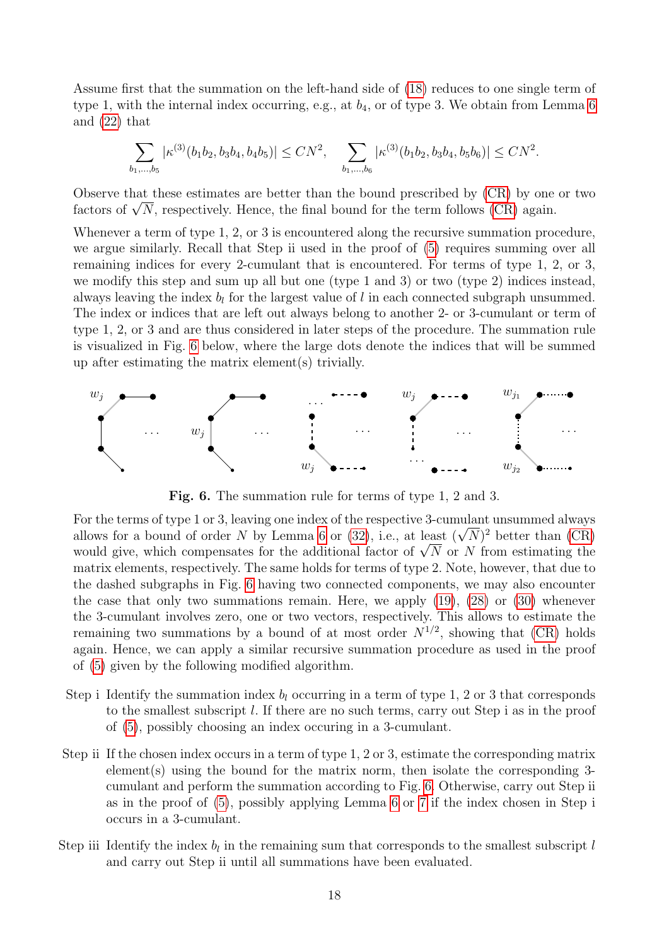Assume first that the summation on the left-hand side of [\(18\)](#page-11-1) reduces to one single term of type 1, with the internal index occurring, e.g., at  $b_4$ , or of type 3. We obtain from Lemma [6](#page-11-5) and [\(22\)](#page-12-1) that

$$
\sum_{b_1,\dots,b_5} |\kappa^{(3)}(b_1b_2,b_3b_4,b_4b_5)| \le CN^2, \quad \sum_{b_1,\dots,b_6} |\kappa^{(3)}(b_1b_2,b_3b_4,b_5b_6)| \le CN^2.
$$

Observe that these estimates are better than the bound prescribed by [\(CR\)](#page-2-3) by one or two Observe that these estimates are better than the bound prescribed by [\(CR\)](#page-2-3) by one factors of  $\sqrt{N}$ , respectively. Hence, the final bound for the term follows (CR) again.

Whenever a term of type 1, 2, or 3 is encountered along the recursive summation procedure, we argue similarly. Recall that Step ii used in the proof of [\(5\)](#page-3-1) requires summing over all remaining indices for every 2-cumulant that is encountered. For terms of type 1, 2, or 3, we modify this step and sum up all but one (type 1 and 3) or two (type 2) indices instead, always leaving the index  $b_l$  for the largest value of l in each connected subgraph unsummed. The index or indices that are left out always belong to another 2- or 3-cumulant or term of type 1, 2, or 3 and are thus considered in later steps of the procedure. The summation rule is visualized in Fig. [6](#page-17-0) below, where the large dots denote the indices that will be summed up after estimating the matrix element(s) trivially.

<span id="page-17-0"></span>

Fig. 6. The summation rule for terms of type 1, 2 and 3.

For the terms of type 1 or 3, leaving one index of the respective 3-cumulant unsummed always For the terms of type 1 or 3, leaving one index of the respective 3-cumulant unsummed always<br>allows for a bound of order N by Lemma [6](#page-11-5) or [\(32\)](#page-13-3), i.e., at least  $(\sqrt{N})^2$  better than [\(CR\)](#page-2-3) ahows for a bound of order N by Lemma 6 or  $(32)$ , i.e., at least  $(\sqrt{N})^2$  better than  $(\text{CR})$  would give, which compensates for the additional factor of  $\sqrt{N}$  or N from estimating the matrix elements, respectively. The same holds for terms of type 2. Note, however, that due to the dashed subgraphs in Fig. [6](#page-17-0) having two connected components, we may also encounter the case that only two summations remain. Here, we apply [\(19\)](#page-11-2), [\(28\)](#page-13-1) or [\(30\)](#page-13-4) whenever the 3-cumulant involves zero, one or two vectors, respectively. This allows to estimate the remaining two summations by a bound of at most order  $N^{1/2}$ , showing that [\(CR\)](#page-2-3) holds again. Hence, we can apply a similar recursive summation procedure as used in the proof of [\(5\)](#page-3-1) given by the following modified algorithm.

- Step i Identify the summation index  $b_l$  occurring in a term of type 1, 2 or 3 that corresponds to the smallest subscript l. If there are no such terms, carry out Step i as in the proof of [\(5\)](#page-3-1), possibly choosing an index occuring in a 3-cumulant.
- Step ii If the chosen index occurs in a term of type 1, 2 or 3, estimate the corresponding matrix element(s) using the bound for the matrix norm, then isolate the corresponding 3 cumulant and perform the summation according to Fig. [6.](#page-17-0) Otherwise, carry out Step ii as in the proof of [\(5\)](#page-3-1), possibly applying Lemma [6](#page-11-5) or [7](#page-12-6) if the index chosen in Step i occurs in a 3-cumulant.
- Step iii Identify the index  $b_l$  in the remaining sum that corresponds to the smallest subscript  $l$ and carry out Step ii until all summations have been evaluated.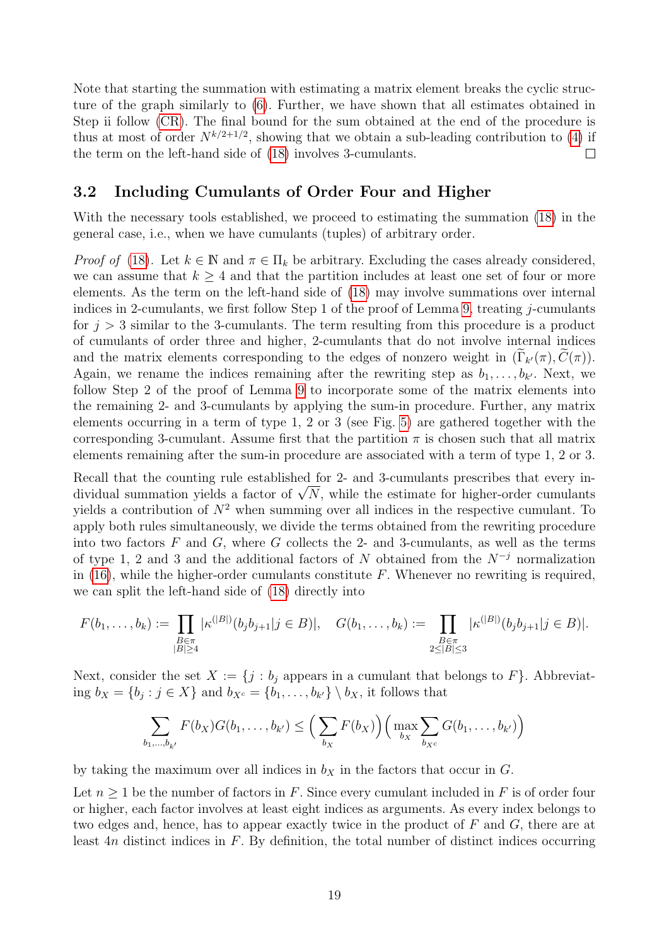Note that starting the summation with estimating a matrix element breaks the cyclic structure of the graph similarly to [\(6\)](#page-3-5). Further, we have shown that all estimates obtained in Step ii follow [\(CR\)](#page-2-3). The final bound for the sum obtained at the end of the procedure is thus at most of order  $N^{k/2+1/2}$ , showing that we obtain a sub-leading contribution to [\(4\)](#page-2-2) if the term on the left-hand side of [\(18\)](#page-11-1) involves 3-cumulants.  $\Box$ 

#### 3.2 Including Cumulants of Order Four and Higher

With the necessary tools established, we proceed to estimating the summation [\(18\)](#page-11-1) in the general case, i.e., when we have cumulants (tuples) of arbitrary order.

*Proof of* [\(18\)](#page-11-1). Let  $k \in \mathbb{N}$  and  $\pi \in \Pi_k$  be arbitrary. Excluding the cases already considered, we can assume that  $k \geq 4$  and that the partition includes at least one set of four or more elements. As the term on the left-hand side of [\(18\)](#page-11-1) may involve summations over internal indices in 2-cumulants, we first follow Step 1 of the proof of Lemma [9,](#page-15-3) treating j-cumulants for  $j > 3$  similar to the 3-cumulants. The term resulting from this procedure is a product of cumulants of order three and higher, 2-cumulants that do not involve internal indices and the matrix elements corresponding to the edges of nonzero weight in  $(\Gamma_{k'}(\pi), C(\pi))$ . Again, we rename the indices remaining after the rewriting step as  $b_1, \ldots, b_{k'}$ . Next, we follow Step 2 of the proof of Lemma [9](#page-15-3) to incorporate some of the matrix elements into the remaining 2- and 3-cumulants by applying the sum-in procedure. Further, any matrix elements occurring in a term of type 1, 2 or 3 (see Fig. [5\)](#page-16-0) are gathered together with the corresponding 3-cumulant. Assume first that the partition  $\pi$  is chosen such that all matrix elements remaining after the sum-in procedure are associated with a term of type 1, 2 or 3.

Recall that the counting rule established for 2- and 3-cumulants prescribes that every in-Recall that the counting rule established for 2- and 3-cumulants prescribes that every individual summation yields a factor of  $\sqrt{N}$ , while the estimate for higher-order cumulants yields a contribution of  $N^2$  when summing over all indices in the respective cumulant. To apply both rules simultaneously, we divide the terms obtained from the rewriting procedure into two factors  $F$  and  $G$ , where  $G$  collects the 2- and 3-cumulants, as well as the terms of type 1, 2 and 3 and the additional factors of N obtained from the  $N^{-j}$  normalization in  $(16)$ , while the higher-order cumulants constitute F. Whenever no rewriting is required, we can split the left-hand side of [\(18\)](#page-11-1) directly into

$$
F(b_1,\ldots,b_k) := \prod_{\substack{B \in \pi \\ |B| \ge 4}} |\kappa^{(|B|)}(b_j b_{j+1} | j \in B)|, \quad G(b_1,\ldots,b_k) := \prod_{\substack{B \in \pi \\ 2 \le |B| \le 3}} |\kappa^{(|B|)}(b_j b_{j+1} | j \in B)|.
$$

Next, consider the set  $X := \{j : b_j \text{ appears in a cumulant that belongs to } F\}.$  Abbreviating  $b_X = \{b_j : j \in X\}$  and  $b_{X^c} = \{b_1, \ldots, b_{k'}\} \setminus b_X$ , it follows that

$$
\sum_{b_1,\dots,b_{k'}} F(b_X)G(b_1,\dots,b_{k'}) \leq \Big(\sum_{b_X} F(b_X)\Big) \Big(\max_{b_X} \sum_{b_{X^c}} G(b_1,\dots,b_{k'})\Big)
$$

by taking the maximum over all indices in  $b<sub>X</sub>$  in the factors that occur in G.

Let  $n \geq 1$  be the number of factors in F. Since every cumulant included in F is of order four or higher, each factor involves at least eight indices as arguments. As every index belongs to two edges and, hence, has to appear exactly twice in the product of  $F$  and  $G$ , there are at least  $4n$  distinct indices in  $F$ . By definition, the total number of distinct indices occurring